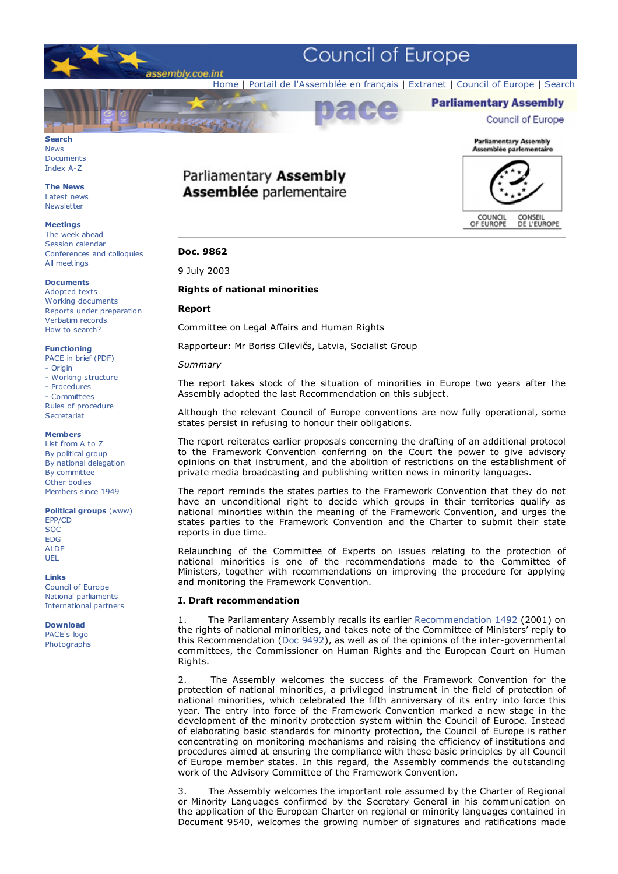

## **Search** News

Documents Index A-Z

**The News** Latest news **Newsletter** 

#### **Meetings**

The week ahead Session calendar Conferences and colloquies All meetings

#### **Documents** Adopted texts Working documents Reports under preparation Verbatim records How to search?

**Functioning**

- PACE in brief (PDF)
- Origin
- Working structure
- Procedures
- Committees

Rules of procedure **Secretariat** 

#### **Members**

List from A to Z By political group By national delegation By committee Other bodies Members since 1949

**Political groups** (www)

EPP/CD **SOC** EDG ALDE UEL

#### **Links**

Council of Europe National parliaments International partners

**Download** PACE's logo Photographs

# Parliamentary Assembly **Assemblée parlementaire**



**Parliamentary Assembly** 

**Council of Europe** 

## **Doc. 9862**

9 July 2003

## **Rights of national minorities**

## **Report**

Committee on Legal Affairs and Human Rights

Rapporteur: Mr Boriss Cilevičs, Latvia, Socialist Group

### *Summary*

The report takes stock of the situation of minorities in Europe two years after the Assembly adopted the last Recommendation on this subject.

Although the relevant Council of Europe conventions are now fully operational, some states persist in refusing to honour their obligations.

The report reiterates earlier proposals concerning the drafting of an additional protocol to the Framework Convention conferring on the Court the power to give advisory opinions on that instrument, and the abolition of restrictions on the establishment of private media broadcasting and publishing written news in minority languages.

The report reminds the states parties to the Framework Convention that they do not have an unconditional right to decide which groups in their territories qualify as national minorities within the meaning of the Framework Convention, and urges the states parties to the Framework Convention and the Charter to submit their state reports in due time.

Relaunching of the Committee of Experts on issues relating to the protection of national minorities is one of the recommendations made to the Committee of Ministers, together with recommendations on improving the procedure for applying and monitoring the Framework Convention.

## **I. Draft recommendation**

1. The Parliamentary Assembly recalls its earlier Recommendation 1492 (2001) on the rights of national minorities, and takes note of the Committee of Ministers' reply to this Recommendation (Doc 9492), as well as of the opinions of the inter-governmental committees, the Commissioner on Human Rights and the European Court on Human Rights.

2. The Assembly welcomes the success of the Framework Convention for the protection of national minorities, a privileged instrument in the field of protection of national minorities, which celebrated the fifth anniversary of its entry into force this year. The entry into force of the Framework Convention marked a new stage in the development of the minority protection system within the Council of Europe. Instead of elaborating basic standards for minority protection, the Council of Europe is rather concentrating on monitoring mechanisms and raising the efficiency of institutions and procedures aimed at ensuring the compliance with these basic principles by all Council of Europe member states. In this regard, the Assembly commends the outstanding work of the Advisory Committee of the Framework Convention.

3. The Assembly welcomes the important role assumed by the Charter of Regional or Minority Languages confirmed by the Secretary General in his communication on the application of the European Charter on regional or minority languages contained in Document 9540, welcomes the growing number of signatures and ratifications made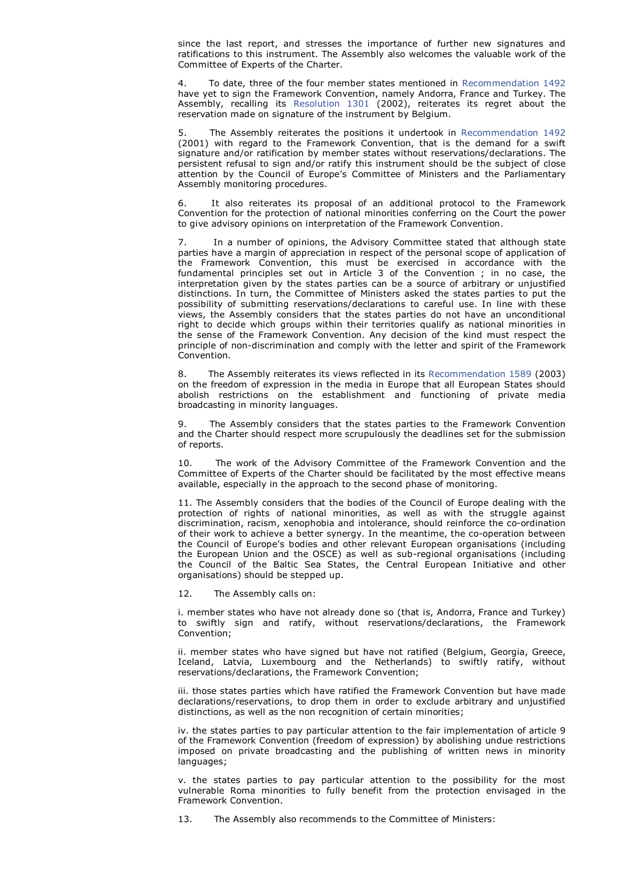since the last report, and stresses the importance of further new signatures and ratifications to this instrument. The Assembly also welcomes the valuable work of the Committee of Experts of the Charter.

4. To date, three of the four member states mentioned in Recommendation 1492 have yet to sign the Framework Convention, namely Andorra, France and Turkey. The Assembly, recalling its Resolution 1301 (2002), reiterates its regret about the reservation made on signature of the instrument by Belgium.

5. The Assembly reiterates the positions it undertook in Recommendation 1492 (2001) with regard to the Framework Convention, that is the demand for a swift signature and/or ratification by member states without reservations/declarations. The persistent refusal to sign and/or ratify this instrument should be the subject of close attention by the Council of Europe's Committee of Ministers and the Parliamentary Assembly monitoring procedures.

It also reiterates its proposal of an additional protocol to the Framework Convention for the protection of national minorities conferring on the Court the power to give advisory opinions on interpretation of the Framework Convention.

7. In a number of opinions, the Advisory Committee stated that although state parties have a margin of appreciation in respect of the personal scope of application of the Framework Convention, this must be exercised in accordance with the fundamental principles set out in Article 3 of the Convention ; in no case, the interpretation given by the states parties can be a source of arbitrary or unjustified distinctions. In turn, the Committee of Ministers asked the states parties to put the possibility of submitting reservations/declarations to careful use. In line with these views, the Assembly considers that the states parties do not have an unconditional right to decide which groups within their territories qualify as national minorities in the sense of the Framework Convention. Any decision of the kind must respect the principle of non-discrimination and comply with the letter and spirit of the Framework Convention.

8. The Assembly reiterates its views reflected in its Recommendation 1589 (2003) on the freedom of expression in the media in Europe that all European States should abolish restrictions on the establishment and functioning of private media broadcasting in minority languages.

The Assembly considers that the states parties to the Framework Convention and the Charter should respect more scrupulously the deadlines set for the submission of reports.

The work of the Advisory Committee of the Framework Convention and the Committee of Experts of the Charter should be facilitated by the most effective means available, especially in the approach to the second phase of monitoring.

11. The Assembly considers that the bodies of the Council of Europe dealing with the protection of rights of national minorities, as well as with the struggle against discrimination, racism, xenophobia and intolerance, should reinforce the co-ordination of their work to achieve a better synergy. In the meantime, the co-operation between the Council of Europe's bodies and other relevant European organisations (including the European Union and the OSCE) as well as sub-regional organisations (including the Council of the Baltic Sea States, the Central European Initiative and other organisations) should be stepped up.

#### 12. The Assembly calls on:

i. member states who have not already done so (that is, Andorra, France and Turkey) to swiftly sign and ratify, without reservations/declarations, the Framework Convention;

ii. member states who have signed but have not ratified (Belgium, Georgia, Greece, Iceland, Latvia, Luxembourg and the Netherlands) to swiftly ratify, without reservations/declarations, the Framework Convention;

iii. those states parties which have ratified the Framework Convention but have made declarations/reservations, to drop them in order to exclude arbitrary and unjustified distinctions, as well as the non recognition of certain minorities;

iv. the states parties to pay particular attention to the fair implementation of article 9 of the Framework Convention (freedom of expression) by abolishing undue restrictions imposed on private broadcasting and the publishing of written news in minority languages;

v. the states parties to pay particular attention to the possibility for the most vulnerable Roma minorities to fully benefit from the protection envisaged in the Framework Convention.

13. The Assembly also recommends to the Committee of Ministers: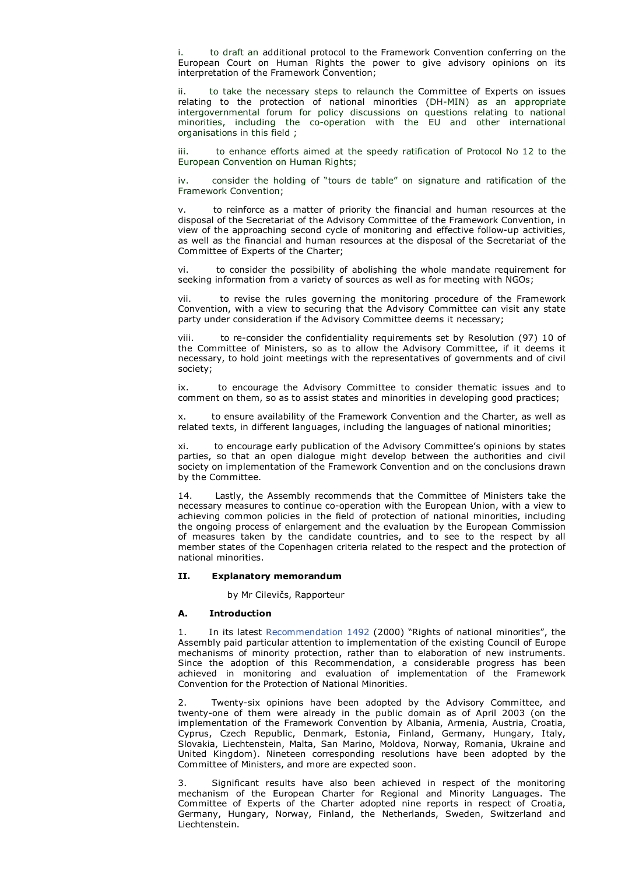to draft an additional protocol to the Framework Convention conferring on the European Court on Human Rights the power to give advisory opinions on its interpretation of the Framework Convention;

to take the necessary steps to relaunch the Committee of Experts on issues relating to the protection of national minorities (DH-MIN) as an appropriate intergovernmental forum for policy discussions on questions relating to national minorities, including the co-operation with the EU and other international organisations in this field ;

iii. to enhance efforts aimed at the speedy ratification of Protocol No 12 to the European Convention on Human Rights;

iv. consider the holding of "tours de table" on signature and ratification of the Framework Convention;

to reinforce as a matter of priority the financial and human resources at the disposal of the Secretariat of the Advisory Committee of the Framework Convention, in view of the approaching second cycle of monitoring and effective follow-up activities, as well as the financial and human resources at the disposal of the Secretariat of the Committee of Experts of the Charter;

vi. to consider the possibility of abolishing the whole mandate requirement for seeking information from a variety of sources as well as for meeting with NGOs;

vii. to revise the rules governing the monitoring procedure of the Framework Convention, with a view to securing that the Advisory Committee can visit any state party under consideration if the Advisory Committee deems it necessary;

viii. to re-consider the confidentiality requirements set by Resolution (97) 10 of the Committee of Ministers, so as to allow the Advisory Committee, if it deems it necessary, to hold joint meetings with the representatives of governments and of civil society;

ix. to encourage the Advisory Committee to consider thematic issues and to comment on them, so as to assist states and minorities in developing good practices;

x. to ensure availability of the Framework Convention and the Charter, as well as related texts, in different languages, including the languages of national minorities;

xi. to encourage early publication of the Advisory Committee's opinions by states parties, so that an open dialogue might develop between the authorities and civil society on implementation of the Framework Convention and on the conclusions drawn by the Committee.

14. Lastly, the Assembly recommends that the Committee of Ministers take the necessary measures to continue co-operation with the European Union, with a view to achieving common policies in the field of protection of national minorities, including the ongoing process of enlargement and the evaluation by the European Commission of measures taken by the candidate countries, and to see to the respect by all member states of the Copenhagen criteria related to the respect and the protection of national minorities.

#### **II. Explanatory memorandum**

by Mr Cilevičs, Rapporteur

#### **A. Introduction**

In its latest Recommendation 1492 (2000) "Rights of national minorities", the Assembly paid particular attention to implementation of the existing Council of Europe mechanisms of minority protection, rather than to elaboration of new instruments. Since the adoption of this Recommendation, a considerable progress has been achieved in monitoring and evaluation of implementation of the Framework Convention for the Protection of National Minorities.

2. Twenty-six opinions have been adopted by the Advisory Committee, and twenty-one of them were already in the public domain as of April 2003 (on the implementation of the Framework Convention by Albania, Armenia, Austria, Croatia, Cyprus, Czech Republic, Denmark, Estonia, Finland, Germany, Hungary, Italy, Slovakia, Liechtenstein, Malta, San Marino, Moldova, Norway, Romania, Ukraine and United Kingdom). Nineteen corresponding resolutions have been adopted by the Committee of Ministers, and more are expected soon.

3. Significant results have also been achieved in respect of the monitoring mechanism of the European Charter for Regional and Minority Languages. The Committee of Experts of the Charter adopted nine reports in respect of Croatia, Germany, Hungary, Norway, Finland, the Netherlands, Sweden, Switzerland and Liechtenstein.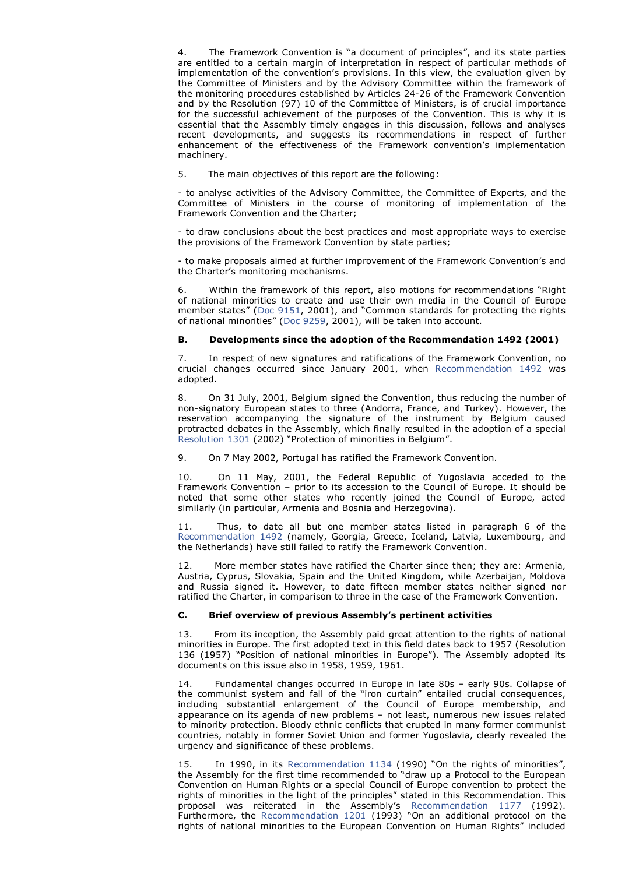4. The Framework Convention is "a document of principles", and its state parties are entitled to a certain margin of interpretation in respect of particular methods of implementation of the convention's provisions. In this view, the evaluation given by the Committee of Ministers and by the Advisory Committee within the framework of the monitoring procedures established by Articles 24-26 of the Framework Convention and by the Resolution (97) 10 of the Committee of Ministers, is of crucial importance for the successful achievement of the purposes of the Convention. This is why it is essential that the Assembly timely engages in this discussion, follows and analyses recent developments, and suggests its recommendations in respect of further enhancement of the effectiveness of the Framework convention's implementation machinery.

5. The main objectives of this report are the following:

- to analyse activities of the Advisory Committee, the Committee of Experts, and the Committee of Ministers in the course of monitoring of implementation of the Framework Convention and the Charter;

- to draw conclusions about the best practices and most appropriate ways to exercise the provisions of the Framework Convention by state parties;

- to make proposals aimed at further improvement of the Framework Convention's and the Charter's monitoring mechanisms.

Within the framework of this report, also motions for recommendations "Right" of national minorities to create and use their own media in the Council of Europe member states" (Doc 9151, 2001), and "Common standards for protecting the rights of national minorities" (Doc 9259, 2001), will be taken into account.

### **B. Developments since the adoption of the Recommendation 1492 (2001)**

7. In respect of new signatures and ratifications of the Framework Convention, no crucial changes occurred since January 2001, when Recommendation 1492 was adopted.

8. On 31 July, 2001, Belgium signed the Convention, thus reducing the number of non-signatory European states to three (Andorra, France, and Turkey). However, the reservation accompanying the signature of the instrument by Belgium caused protracted debates in the Assembly, which finally resulted in the adoption of a special Resolution 1301 (2002) "Protection of minorities in Belgium".

9. On 7 May 2002, Portugal has ratified the Framework Convention.

10. On 11 May, 2001, the Federal Republic of Yugoslavia acceded to the Framework Convention – prior to its accession to the Council of Europe. It should be noted that some other states who recently joined the Council of Europe, acted similarly (in particular, Armenia and Bosnia and Herzegovina).

11. Thus, to date all but one member states listed in paragraph 6 of the Recommendation 1492 (namely, Georgia, Greece, Iceland, Latvia, Luxembourg, and the Netherlands) have still failed to ratify the Framework Convention.

12. More member states have ratified the Charter since then; they are: Armenia, Austria, Cyprus, Slovakia, Spain and the United Kingdom, while Azerbaijan, Moldova and Russia signed it. However, to date fifteen member states neither signed nor ratified the Charter, in comparison to three in the case of the Framework Convention.

#### **C. Brief overview of previous Assembly's pertinent activities**

13. From its inception, the Assembly paid great attention to the rights of national minorities in Europe. The first adopted text in this field dates back to 1957 (Resolution 136 (1957) "Position of national minorities in Europe"). The Assembly adopted its documents on this issue also in 1958, 1959, 1961.

14. Fundamental changes occurred in Europe in late 80s – early 90s. Collapse of the communist system and fall of the "iron curtain" entailed crucial consequences, including substantial enlargement of the Council of Europe membership, and appearance on its agenda of new problems – not least, numerous new issues related to minority protection. Bloody ethnic conflicts that erupted in many former communist countries, notably in former Soviet Union and former Yugoslavia, clearly revealed the urgency and significance of these problems.

15. In 1990, in its Recommendation 1134 (1990) "On the rights of minorities", the Assembly for the first time recommended to "draw up a Protocol to the European Convention on Human Rights or a special Council of Europe convention to protect the rights of minorities in the light of the principles" stated in this Recommendation. This proposal was reiterated in the Assembly's Recommendation 1177 (1992). Furthermore, the Recommendation 1201 (1993) "On an additional protocol on the rights of national minorities to the European Convention on Human Rights" included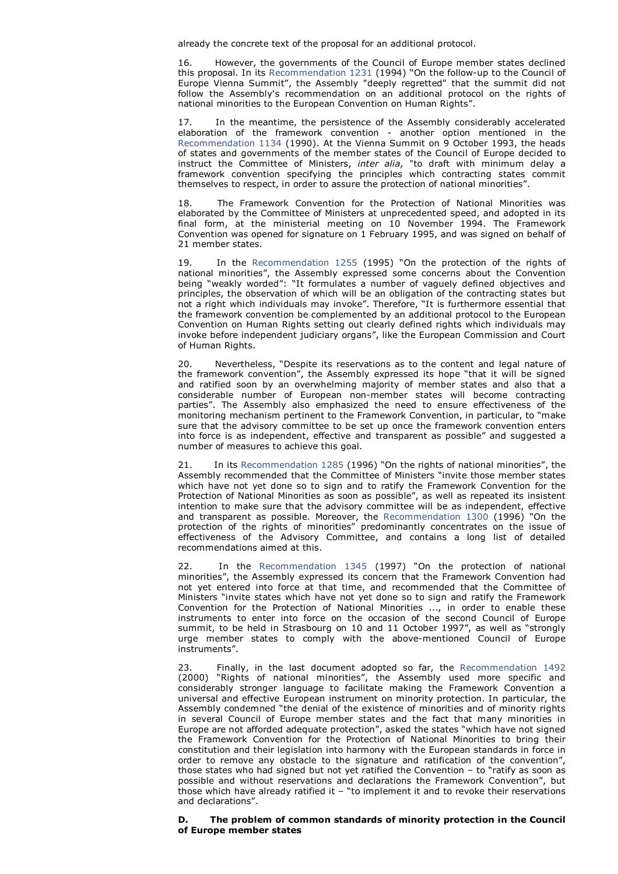already the concrete text of the proposal for an additional protocol.

16. However, the governments of the Council of Europe member states declined this proposal. In its Recommendation 1231 (1994) "On the follow-up to the Council of Europe Vienna Summit", the Assembly "deeply regretted" that the summit did not follow the Assembly's recommendation on an additional protocol on the rights of national minorities to the European Convention on Human Rights".

17. In the meantime, the persistence of the Assembly considerably accelerated elaboration of the framework convention - another option mentioned in the Recommendation 1134 (1990). At the Vienna Summit on 9 October 1993, the heads of states and governments of the member states of the Council of Europe decided to instruct the Committee of Ministers, *inter alia*, "to draft with minimum delay a framework convention specifying the principles which contracting states commit themselves to respect, in order to assure the protection of national minorities".

18. The Framework Convention for the Protection of National Minorities was elaborated by the Committee of Ministers at unprecedented speed, and adopted in its final form, at the ministerial meeting on 10 November 1994. The Framework Convention was opened for signature on 1 February 1995, and was signed on behalf of 21 member states.

19. In the Recommendation 1255 (1995) "On the protection of the rights of national minorities", the Assembly expressed some concerns about the Convention being "weakly worded": "It formulates a number of vaguely defined objectives and principles, the observation of which will be an obligation of the contracting states but not a right which individuals may invoke". Therefore, "It is furthermore essential that the framework convention be complemented by an additional protocol to the European Convention on Human Rights setting out clearly defined rights which individuals may invoke before independent judiciary organs", like the European Commission and Court of Human Rights.

Nevertheless, "Despite its reservations as to the content and legal nature of the framework convention", the Assembly expressed its hope "that it will be signed and ratified soon by an overwhelming majority of member states and also that a considerable number of European non-member states will become contracting parties". The Assembly also emphasized the need to ensure effectiveness of the monitoring mechanism pertinent to the Framework Convention, in particular, to "make sure that the advisory committee to be set up once the framework convention enters into force is as independent, effective and transparent as possible" and suggested a number of measures to achieve this goal.

In its Recommendation 1285 (1996) "On the rights of national minorities", the Assembly recommended that the Committee of Ministers "invite those member states which have not yet done so to sign and to ratify the Framework Convention for the Protection of National Minorities as soon as possible", as well as repeated its insistent intention to make sure that the advisory committee will be as independent, effective and transparent as possible. Moreover, the Recommendation 1300 (1996) "On the protection of the rights of minorities" predominantly concentrates on the issue of effectiveness of the Advisory Committee, and contains a long list of detailed recommendations aimed at this.

22. In the Recommendation 1345 (1997) "On the protection of national minorities", the Assembly expressed its concern that the Framework Convention had not yet entered into force at that time, and recommended that the Committee of Ministers "invite states which have not yet done so to sign and ratify the Framework Convention for the Protection of National Minorities ..., in order to enable these instruments to enter into force on the occasion of the second Council of Europe summit, to be held in Strasbourg on 10 and 11 October 1997", as well as "strongly urge member states to comply with the above-mentioned Council of Europe instruments".

23. Finally, in the last document adopted so far, the Recommendation 1492 (2000) "Rights of national minorities", the Assembly used more specific and considerably stronger language to facilitate making the Framework Convention a universal and effective European instrument on minority protection. In particular, the Assembly condemned "the denial of the existence of minorities and of minority rights in several Council of Europe member states and the fact that many minorities in Europe are not afforded adequate protection", asked the states "which have not signed the Framework Convention for the Protection of National Minorities to bring their constitution and their legislation into harmony with the European standards in force in order to remove any obstacle to the signature and ratification of the convention", those states who had signed but not yet ratified the Convention – to "ratify as soon as possible and without reservations and declarations the Framework Convention", but those which have already ratified it – "to implement it and to revoke their reservations and declarations".

### **D. The problem of common standards of minority protection in the Council of Europe member states**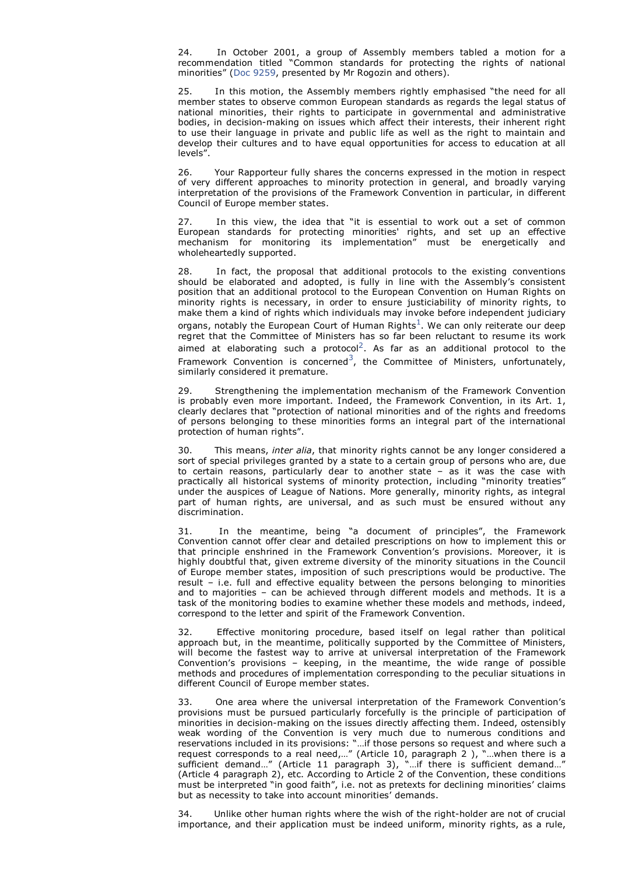24. In October 2001, a group of Assembly members tabled a motion for a recommendation titled "Common standards for protecting the rights of national minorities" (Doc 9259, presented by Mr Rogozin and others).

In this motion, the Assembly members rightly emphasised "the need for all member states to observe common European standards as regards the legal status of national minorities, their rights to participate in governmental and administrative bodies, in decision-making on issues which affect their interests, their inherent right to use their language in private and public life as well as the right to maintain and develop their cultures and to have equal opportunities for access to education at all levels".

26. Your Rapporteur fully shares the concerns expressed in the motion in respect of very different approaches to minority protection in general, and broadly varying interpretation of the provisions of the Framework Convention in particular, in different Council of Europe member states.

27. In this view, the idea that "it is essential to work out a set of common European standards for protecting minorities' rights, and set up an effective mechanism for monitoring its implementation" must be energetically and wholeheartedly supported.

28. In fact, the proposal that additional protocols to the existing conventions should be elaborated and adopted, is fully in line with the Assembly's consistent position that an additional protocol to the European Convention on Human Rights on minority rights is necessary, in order to ensure justiciability of minority rights, to make them a kind of rights which individuals may invoke before independent judiciary organs, notably the European Court of Human Rights $^1\!\!$ . We can only reiterate our deep regret that the Committee of Ministers has so far been reluctant to resume its work aimed at elaborating such a protocol<sup>2</sup>. As far as an additional protocol to the Framework Convention is concerned<sup>3</sup>, the Committee of Ministers, unfortunately, similarly considered it premature.

29. Strengthening the implementation mechanism of the Framework Convention is probably even more important. Indeed, the Framework Convention, in its Art. 1, clearly declares that "protection of national minorities and of the rights and freedoms of persons belonging to these minorities forms an integral part of the international protection of human rights".

30. This means, *inter alia*, that minority rights cannot be any longer considered a sort of special privileges granted by a state to a certain group of persons who are, due to certain reasons, particularly dear to another state – as it was the case with practically all historical systems of minority protection, including "minority treaties" under the auspices of League of Nations. More generally, minority rights, as integral part of human rights, are universal, and as such must be ensured without any discrimination.

31. In the meantime, being "a document of principles", the Framework Convention cannot offer clear and detailed prescriptions on how to implement this or that principle enshrined in the Framework Convention's provisions. Moreover, it is highly doubtful that, given extreme diversity of the minority situations in the Council of Europe member states, imposition of such prescriptions would be productive. The result – i.e. full and effective equality between the persons belonging to minorities and to majorities – can be achieved through different models and methods. It is a task of the monitoring bodies to examine whether these models and methods, indeed, correspond to the letter and spirit of the Framework Convention.

Effective monitoring procedure, based itself on legal rather than political approach but, in the meantime, politically supported by the Committee of Ministers, will become the fastest way to arrive at universal interpretation of the Framework Convention's provisions – keeping, in the meantime, the wide range of possible methods and procedures of implementation corresponding to the peculiar situations in different Council of Europe member states.

33. One area where the universal interpretation of the Framework Convention's provisions must be pursued particularly forcefully is the principle of participation of minorities in decision-making on the issues directly affecting them. Indeed, ostensibly weak wording of the Convention is very much due to numerous conditions and reservations included in its provisions: "…if those persons so request and where such a request corresponds to a real need,…" (Article 10, paragraph 2 ), "…when there is a sufficient demand…" (Article 11 paragraph 3), "…if there is sufficient demand…" (Article 4 paragraph 2), etc. According to Article 2 of the Convention, these conditions must be interpreted "in good faith", i.e. not as pretexts for declining minorities' claims but as necessity to take into account minorities' demands.

34. Unlike other human rights where the wish of the right-holder are not of crucial importance, and their application must be indeed uniform, minority rights, as a rule,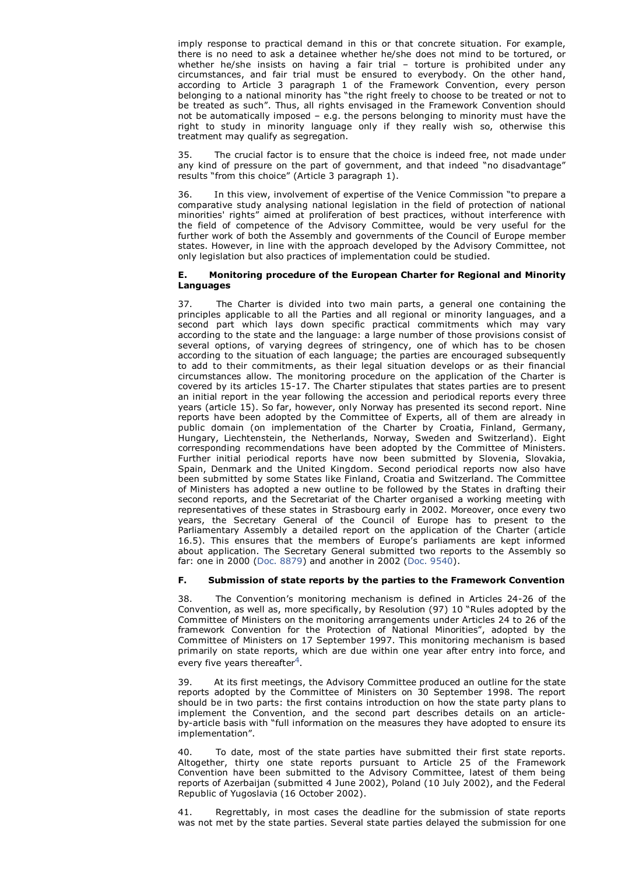imply response to practical demand in this or that concrete situation. For example, there is no need to ask a detainee whether he/she does not mind to be tortured, or whether he/she insists on having a fair trial – torture is prohibited under any circumstances, and fair trial must be ensured to everybody. On the other hand, according to Article 3 paragraph 1 of the Framework Convention, every person belonging to a national minority has "the right freely to choose to be treated or not to be treated as such". Thus, all rights envisaged in the Framework Convention should not be automatically imposed – e.g. the persons belonging to minority must have the right to study in minority language only if they really wish so, otherwise this treatment may qualify as segregation.

The crucial factor is to ensure that the choice is indeed free, not made under any kind of pressure on the part of government, and that indeed "no disadvantage" results "from this choice" (Article 3 paragraph 1).

36. In this view, involvement of expertise of the Venice Commission "to prepare a comparative study analysing national legislation in the field of protection of national minorities' rights" aimed at proliferation of best practices, without interference with the field of competence of the Advisory Committee, would be very useful for the further work of both the Assembly and governments of the Council of Europe member states. However, in line with the approach developed by the Advisory Committee, not only legislation but also practices of implementation could be studied.

## **E. Monitoring procedure of the European Charter for Regional and Minority Languages**

37. The Charter is divided into two main parts, a general one containing the principles applicable to all the Parties and all regional or minority languages, and a second part which lays down specific practical commitments which may vary according to the state and the language: a large number of those provisions consist of several options, of varying degrees of stringency, one of which has to be chosen according to the situation of each language; the parties are encouraged subsequently to add to their commitments, as their legal situation develops or as their financial circumstances allow. The monitoring procedure on the application of the Charter is covered by its articles 15-17. The Charter stipulates that states parties are to present an initial report in the year following the accession and periodical reports every three years (article 15). So far, however, only Norway has presented its second report. Nine reports have been adopted by the Committee of Experts, all of them are already in public domain (on implementation of the Charter by Croatia, Finland, Germany, Hungary, Liechtenstein, the Netherlands, Norway, Sweden and Switzerland). Eight corresponding recommendations have been adopted by the Committee of Ministers. Further initial periodical reports have now been submitted by Slovenia, Slovakia, Spain, Denmark and the United Kingdom. Second periodical reports now also have been submitted by some States like Finland, Croatia and Switzerland. The Committee of Ministers has adopted a new outline to be followed by the States in drafting their second reports, and the Secretariat of the Charter organised a working meeting with representatives of these states in Strasbourg early in 2002. Moreover, once every two years, the Secretary General of the Council of Europe has to present to the Parliamentary Assembly a detailed report on the application of the Charter (article 16.5). This ensures that the members of Europe's parliaments are kept informed about application. The Secretary General submitted two reports to the Assembly so far: one in 2000 (Doc. 8879) and another in 2002 (Doc. 9540).

## **F. Submission of state reports by the parties to the Framework Convention**

38. The Convention's monitoring mechanism is defined in Articles 24-26 of the Convention, as well as, more specifically, by Resolution (97) 10 "Rules adopted by the Committee of Ministers on the monitoring arrangements under Articles 24 to 26 of the framework Convention for the Protection of National Minorities", adopted by the Committee of Ministers on 17 September 1997. This monitoring mechanism is based primarily on state reports, which are due within one year after entry into force, and every five years thereafter<sup>4</sup>.

39. At its first meetings, the Advisory Committee produced an outline for the state reports adopted by the Committee of Ministers on 30 September 1998. The report should be in two parts: the first contains introduction on how the state party plans to implement the Convention, and the second part describes details on an articleby-article basis with "full information on the measures they have adopted to ensure its implementation".

40. To date, most of the state parties have submitted their first state reports. Altogether, thirty one state reports pursuant to Article 25 of the Framework Convention have been submitted to the Advisory Committee, latest of them being reports of Azerbaijan (submitted 4 June 2002), Poland (10 July 2002), and the Federal Republic of Yugoslavia (16 October 2002).

Regrettably, in most cases the deadline for the submission of state reports was not met by the state parties. Several state parties delayed the submission for one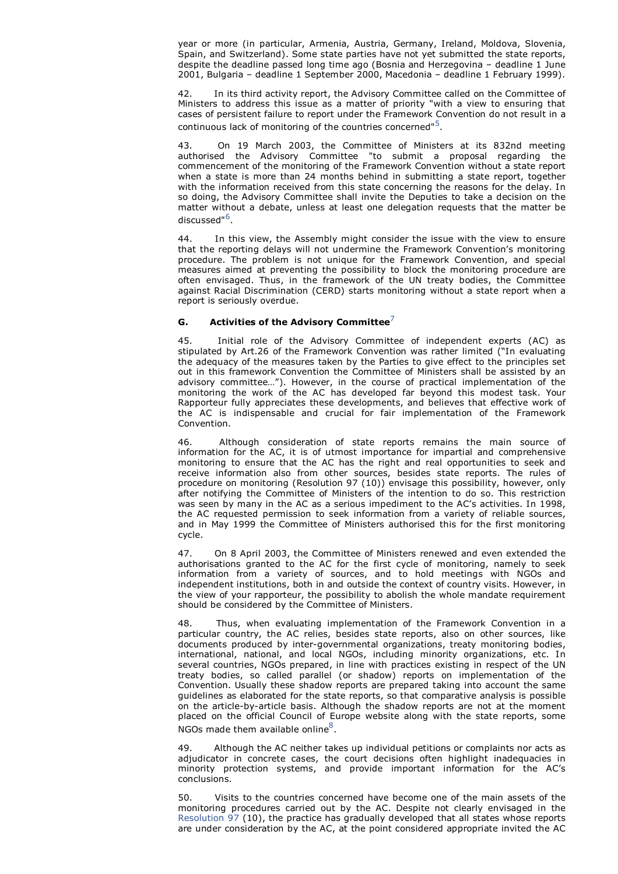year or more (in particular, Armenia, Austria, Germany, Ireland, Moldova, Slovenia, Spain, and Switzerland). Some state parties have not yet submitted the state reports, despite the deadline passed long time ago (Bosnia and Herzegovina – deadline 1 June 2001, Bulgaria – deadline 1 September 2000, Macedonia – deadline 1 February 1999).

42. In its third activity report, the Advisory Committee called on the Committee of Ministers to address this issue as a matter of priority "with a view to ensuring that cases of persistent failure to report under the Framework Convention do not result in a continuous lack of monitoring of the countries concerned"<sup>5</sup>.

43. On 19 March 2003, the Committee of Ministers at its 832nd meeting authorised the Advisory Committee "to submit a proposal regarding the commencement of the monitoring of the Framework Convention without a state report when a state is more than 24 months behind in submitting a state report, together with the information received from this state concerning the reasons for the delay. In so doing, the Advisory Committee shall invite the Deputies to take a decision on the matter without a debate, unless at least one delegation requests that the matter be discussed"<sup>6</sup>.

44. In this view, the Assembly might consider the issue with the view to ensure that the reporting delays will not undermine the Framework Convention's monitoring procedure. The problem is not unique for the Framework Convention, and special measures aimed at preventing the possibility to block the monitoring procedure are often envisaged. Thus, in the framework of the UN treaty bodies, the Committee against Racial Discrimination (CERD) starts monitoring without a state report when a report is seriously overdue.

## **G. Activities of the Advisory Committee**<sup>7</sup>

45. Initial role of the Advisory Committee of independent experts (AC) as stipulated by Art.26 of the Framework Convention was rather limited ("In evaluating the adequacy of the measures taken by the Parties to give effect to the principles set out in this framework Convention the Committee of Ministers shall be assisted by an advisory committee…"). However, in the course of practical implementation of the monitoring the work of the AC has developed far beyond this modest task. Your Rapporteur fully appreciates these developments, and believes that effective work of the AC is indispensable and crucial for fair implementation of the Framework Convention.

46. Although consideration of state reports remains the main source of information for the AC, it is of utmost importance for impartial and comprehensive monitoring to ensure that the AC has the right and real opportunities to seek and receive information also from other sources, besides state reports. The rules of procedure on monitoring (Resolution 97 (10)) envisage this possibility, however, only after notifying the Committee of Ministers of the intention to do so. This restriction was seen by many in the AC as a serious impediment to the AC's activities. In 1998, the AC requested permission to seek information from a variety of reliable sources, and in May 1999 the Committee of Ministers authorised this for the first monitoring cycle.

47. On 8 April 2003, the Committee of Ministers renewed and even extended the authorisations granted to the AC for the first cycle of monitoring, namely to seek information from a variety of sources, and to hold meetings with NGOs and independent institutions, both in and outside the context of country visits. However, in the view of your rapporteur, the possibility to abolish the whole mandate requirement should be considered by the Committee of Ministers.

48. Thus, when evaluating implementation of the Framework Convention in a particular country, the AC relies, besides state reports, also on other sources, like documents produced by inter-governmental organizations, treaty monitoring bodies, international, national, and local NGOs, including minority organizations, etc. In several countries, NGOs prepared, in line with practices existing in respect of the UN treaty bodies, so called parallel (or shadow) reports on implementation of the Convention. Usually these shadow reports are prepared taking into account the same guidelines as elaborated for the state reports, so that comparative analysis is possible on the article-by-article basis. Although the shadow reports are not at the moment placed on the official Council of Europe website along with the state reports, some NGOs made them available online $^8$ .

49. Although the AC neither takes up individual petitions or complaints nor acts as adjudicator in concrete cases, the court decisions often highlight inadequacies in minority protection systems, and provide important information for the AC's conclusions.

50. Visits to the countries concerned have become one of the main assets of the monitoring procedures carried out by the AC. Despite not clearly envisaged in the Resolution 97 (10), the practice has gradually developed that all states whose reports are under consideration by the AC, at the point considered appropriate invited the AC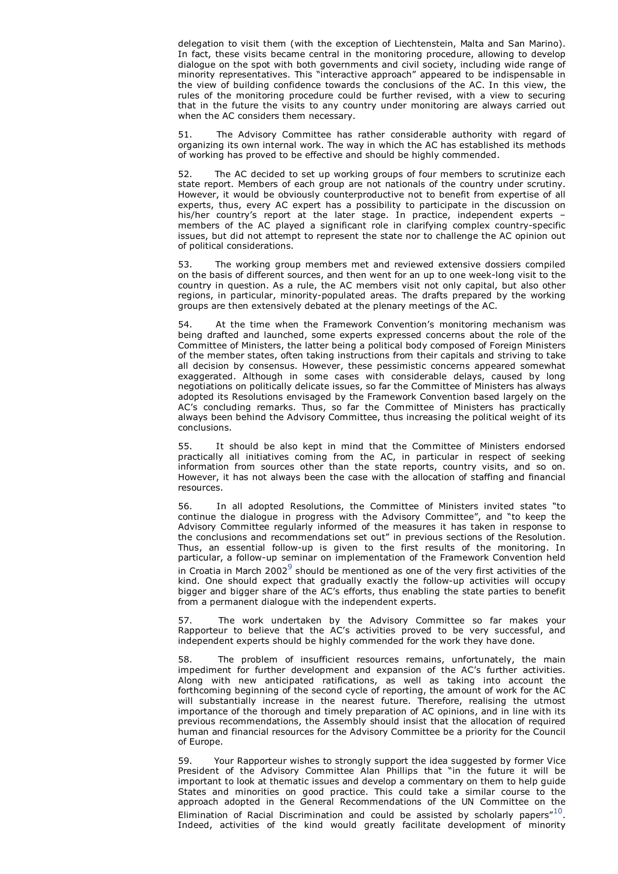delegation to visit them (with the exception of Liechtenstein, Malta and San Marino). In fact, these visits became central in the monitoring procedure, allowing to develop dialogue on the spot with both governments and civil society, including wide range of minority representatives. This "interactive approach" appeared to be indispensable in the view of building confidence towards the conclusions of the AC. In this view, the rules of the monitoring procedure could be further revised, with a view to securing that in the future the visits to any country under monitoring are always carried out when the AC considers them necessary.

51. The Advisory Committee has rather considerable authority with regard of organizing its own internal work. The way in which the AC has established its methods of working has proved to be effective and should be highly commended.

52. The AC decided to set up working groups of four members to scrutinize each state report. Members of each group are not nationals of the country under scrutiny. However, it would be obviously counterproductive not to benefit from expertise of all experts, thus, every AC expert has a possibility to participate in the discussion on his/her country's report at the later stage. In practice, independent experts – members of the AC played a significant role in clarifying complex country-specific issues, but did not attempt to represent the state nor to challenge the AC opinion out of political considerations.

53. The working group members met and reviewed extensive dossiers compiled on the basis of different sources, and then went for an up to one week-long visit to the country in question. As a rule, the AC members visit not only capital, but also other regions, in particular, minority-populated areas. The drafts prepared by the working groups are then extensively debated at the plenary meetings of the AC.

54. At the time when the Framework Convention's monitoring mechanism was being drafted and launched, some experts expressed concerns about the role of the Committee of Ministers, the latter being a political body composed of Foreign Ministers of the member states, often taking instructions from their capitals and striving to take all decision by consensus. However, these pessimistic concerns appeared somewhat exaggerated. Although in some cases with considerable delays, caused by long negotiations on politically delicate issues, so far the Committee of Ministers has always adopted its Resolutions envisaged by the Framework Convention based largely on the AC's concluding remarks. Thus, so far the Committee of Ministers has practically always been behind the Advisory Committee, thus increasing the political weight of its conclusions.

55. It should be also kept in mind that the Committee of Ministers endorsed practically all initiatives coming from the AC, in particular in respect of seeking information from sources other than the state reports, country visits, and so on. However, it has not always been the case with the allocation of staffing and financial resources.

56. In all adopted Resolutions, the Committee of Ministers invited states "to continue the dialogue in progress with the Advisory Committee", and "to keep the Advisory Committee regularly informed of the measures it has taken in response to the conclusions and recommendations set out" in previous sections of the Resolution. Thus, an essential follow-up is given to the first results of the monitoring. In particular, a follow-up seminar on implementation of the Framework Convention held in Croatia in March 2002 $^9$  should be mentioned as one of the very first activities of the kind. One should expect that gradually exactly the follow-up activities will occupy bigger and bigger share of the AC's efforts, thus enabling the state parties to benefit from a permanent dialogue with the independent experts.

57. The work undertaken by the Advisory Committee so far makes your Rapporteur to believe that the AC's activities proved to be very successful, and independent experts should be highly commended for the work they have done.

58. The problem of insufficient resources remains, unfortunately, the main impediment for further development and expansion of the AC's further activities. Along with new anticipated ratifications, as well as taking into account the forthcoming beginning of the second cycle of reporting, the amount of work for the AC will substantially increase in the nearest future. Therefore, realising the utmost importance of the thorough and timely preparation of AC opinions, and in line with its previous recommendations, the Assembly should insist that the allocation of required human and financial resources for the Advisory Committee be a priority for the Council of Europe.

59. Your Rapporteur wishes to strongly support the idea suggested by former Vice President of the Advisory Committee Alan Phillips that "in the future it will be important to look at thematic issues and develop a commentary on them to help guide States and minorities on good practice. This could take a similar course to the approach adopted in the General Recommendations of the UN Committee on the Elimination of Racial Discrimination and could be assisted by scholarly papers" $^{10}$ . Indeed, activities of the kind would greatly facilitate development of minority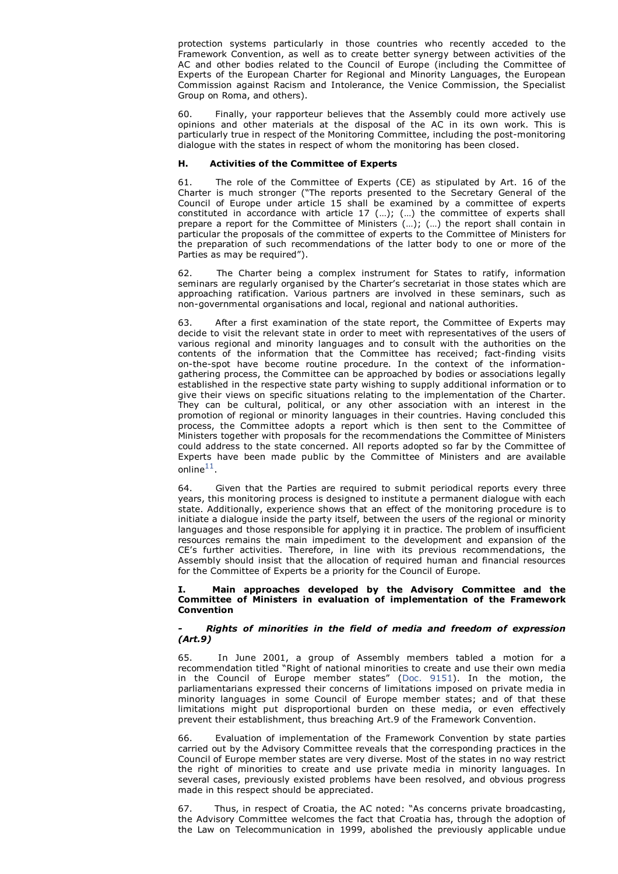protection systems particularly in those countries who recently acceded to the Framework Convention, as well as to create better synergy between activities of the AC and other bodies related to the Council of Europe (including the Committee of Experts of the European Charter for Regional and Minority Languages, the European Commission against Racism and Intolerance, the Venice Commission, the Specialist Group on Roma, and others).

60. Finally, your rapporteur believes that the Assembly could more actively use opinions and other materials at the disposal of the AC in its own work. This is particularly true in respect of the Monitoring Committee, including the post-monitoring dialogue with the states in respect of whom the monitoring has been closed.

## **H. Activities of the Committee of Experts**

61. The role of the Committee of Experts (CE) as stipulated by Art. 16 of the Charter is much stronger ("The reports presented to the Secretary General of the Council of Europe under article 15 shall be examined by a committee of experts constituted in accordance with article 17 (…); (…) the committee of experts shall prepare a report for the Committee of Ministers (…); (…) the report shall contain in particular the proposals of the committee of experts to the Committee of Ministers for the preparation of such recommendations of the latter body to one or more of the Parties as may be required").

62. The Charter being a complex instrument for States to ratify, information seminars are regularly organised by the Charter's secretariat in those states which are approaching ratification. Various partners are involved in these seminars, such as non-governmental organisations and local, regional and national authorities.

63. After a first examination of the state report, the Committee of Experts may decide to visit the relevant state in order to meet with representatives of the users of various regional and minority languages and to consult with the authorities on the contents of the information that the Committee has received; fact-finding visits on-the-spot have become routine procedure. In the context of the informationgathering process, the Committee can be approached by bodies or associations legally established in the respective state party wishing to supply additional information or to give their views on specific situations relating to the implementation of the Charter. They can be cultural, political, or any other association with an interest in the promotion of regional or minority languages in their countries. Having concluded this process, the Committee adopts a report which is then sent to the Committee of Ministers together with proposals for the recommendations the Committee of Ministers could address to the state concerned. All reports adopted so far by the Committee of Experts have been made public by the Committee of Ministers and are available online $^{11}$ .

64. Given that the Parties are required to submit periodical reports every three years, this monitoring process is designed to institute a permanent dialogue with each state. Additionally, experience shows that an effect of the monitoring procedure is to initiate a dialogue inside the party itself, between the users of the regional or minority languages and those responsible for applying it in practice. The problem of insufficient resources remains the main impediment to the development and expansion of the CE's further activities. Therefore, in line with its previous recommendations, the Assembly should insist that the allocation of required human and financial resources for the Committee of Experts be a priority for the Council of Europe.

#### **I. Main approaches developed by the Advisory Committee and the Committee of Ministers in evaluation of implementation of the Framework Convention**

## *- Rights of minorities in the field of media and freedom of expression (Art.9)*

65. In June 2001, a group of Assembly members tabled a motion for a recommendation titled "Right of national minorities to create and use their own media in the Council of Europe member states" (Doc. 9151). In the motion, the parliamentarians expressed their concerns of limitations imposed on private media in minority languages in some Council of Europe member states; and of that these limitations might put disproportional burden on these media, or even effectively prevent their establishment, thus breaching Art.9 of the Framework Convention.

66. Evaluation of implementation of the Framework Convention by state parties carried out by the Advisory Committee reveals that the corresponding practices in the Council of Europe member states are very diverse. Most of the states in no way restrict the right of minorities to create and use private media in minority languages. In several cases, previously existed problems have been resolved, and obvious progress made in this respect should be appreciated.

67. Thus, in respect of Croatia, the AC noted: "As concerns private broadcasting, the Advisory Committee welcomes the fact that Croatia has, through the adoption of the Law on Telecommunication in 1999, abolished the previously applicable undue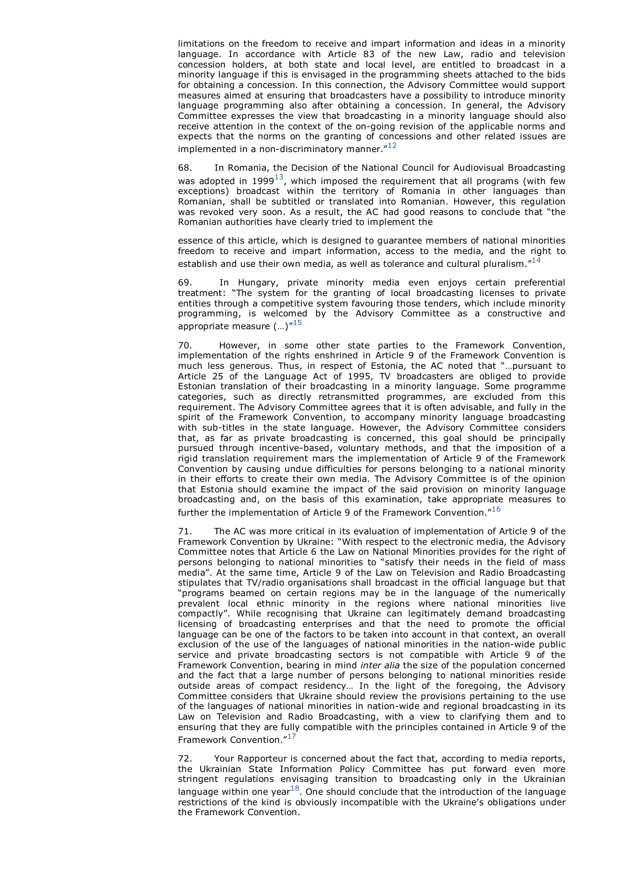limitations on the freedom to receive and impart information and ideas in a minority language. In accordance with Article 83 of the new Law, radio and television concession holders, at both state and local level, are entitled to broadcast in a minority language if this is envisaged in the programming sheets attached to the bids for obtaining a concession. In this connection, the Advisory Committee would support measures aimed at ensuring that broadcasters have a possibility to introduce minority language programming also after obtaining a concession. In general, the Advisory Committee expresses the view that broadcasting in a minority language should also receive attention in the context of the on-going revision of the applicable norms and expects that the norms on the granting of concessions and other related issues are implemented in a non-discriminatory manner. $^{\prime\prime 12}$ 

68. In Romania, the Decision of the National Council for Audiovisual Broadcasting was adopted in 1999 $^{13}$ , which imposed the requirement that all programs (with few exceptions) broadcast within the territory of Romania in other languages than Romanian, shall be subtitled or translated into Romanian. However, this regulation was revoked very soon. As a result, the AC had good reasons to conclude that "the Romanian authorities have clearly tried to implement the

essence of this article, which is designed to guarantee members of national minorities freedom to receive and impart information, access to the media, and the right to establish and use their own media, as well as tolerance and cultural pluralism. $14$ 

69. In Hungary, private minority media even enjoys certain preferential treatment: "The system for the granting of local broadcasting licenses to private entities through a competitive system favouring those tenders, which include minority programming, is welcomed by the Advisory Committee as a constructive and appropriate measure  $(\ldots)^{n15}$ 

70. However, in some other state parties to the Framework Convention, implementation of the rights enshrined in Article 9 of the Framework Convention is much less generous. Thus, in respect of Estonia, the AC noted that "…pursuant to Article 25 of the Language Act of 1995, TV broadcasters are obliged to provide Estonian translation of their broadcasting in a minority language. Some programme categories, such as directly retransmitted programmes, are excluded from this requirement. The Advisory Committee agrees that it is often advisable, and fully in the spirit of the Framework Convention, to accompany minority language broadcasting with sub-titles in the state language. However, the Advisory Committee considers that, as far as private broadcasting is concerned, this goal should be principally pursued through incentive-based, voluntary methods, and that the imposition of a rigid translation requirement mars the implementation of Article 9 of the Framework Convention by causing undue difficulties for persons belonging to a national minority in their efforts to create their own media. The Advisory Committee is of the opinion that Estonia should examine the impact of the said provision on minority language broadcasting and, on the basis of this examination, take appropriate measures to further the implementation of Article 9 of the Framework Convention."<sup>16</sup>

71. The AC was more critical in its evaluation of implementation of Article 9 of the Framework Convention by Ukraine: "With respect to the electronic media, the Advisory Committee notes that Article 6 the Law on National Minorities provides for the right of persons belonging to national minorities to "satisfy their needs in the field of mass media". At the same time, Article 9 of the Law on Television and Radio Broadcasting stipulates that TV/radio organisations shall broadcast in the official language but that "programs beamed on certain regions may be in the language of the numerically prevalent local ethnic minority in the regions where national minorities live compactly". While recognising that Ukraine can legitimately demand broadcasting licensing of broadcasting enterprises and that the need to promote the official language can be one of the factors to be taken into account in that context, an overall exclusion of the use of the languages of national minorities in the nation-wide public service and private broadcasting sectors is not compatible with Article 9 of the Framework Convention, bearing in mind *inter alia* the size of the population concerned and the fact that a large number of persons belonging to national minorities reside outside areas of compact residency… In the light of the foregoing, the Advisory Committee considers that Ukraine should review the provisions pertaining to the use of the languages of national minorities in nation-wide and regional broadcasting in its Law on Television and Radio Broadcasting, with a view to clarifying them and to ensuring that they are fully compatible with the principles contained in Article 9 of the Framework Convention."<sup>17</sup>

72. Your Rapporteur is concerned about the fact that, according to media reports, the Ukrainian State Information Policy Committee has put forward even more stringent regulations envisaging transition to broadcasting only in the Ukrainian language within one year $^{18}$ . One should conclude that the introduction of the language restrictions of the kind is obviously incompatible with the Ukraine's obligations under the Framework Convention.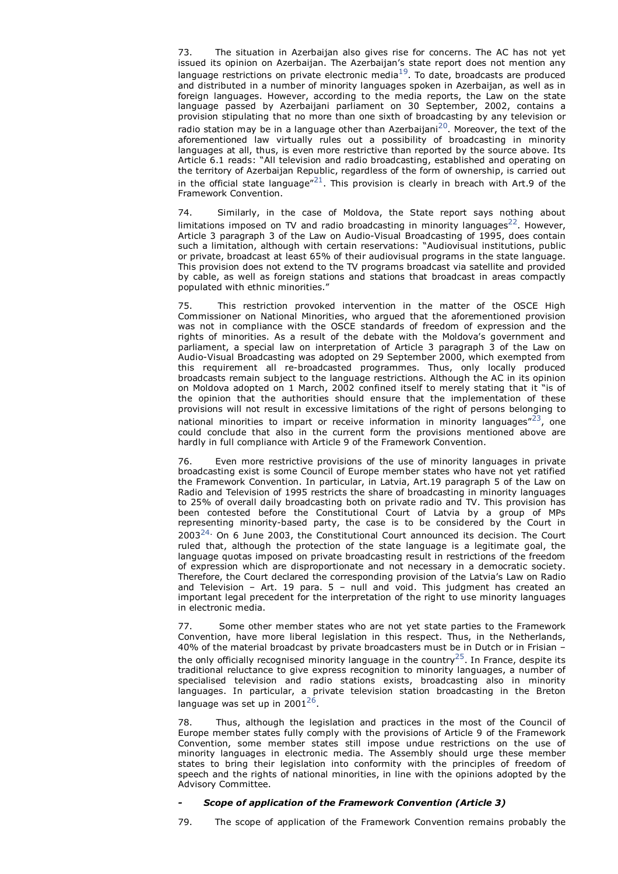73. The situation in Azerbaijan also gives rise for concerns. The AC has not yet issued its opinion on Azerbaijan. The Azerbaijan's state report does not mention any language restrictions on private electronic media<sup>19</sup>. To date, broadcasts are produced and distributed in a number of minority languages spoken in Azerbaijan, as well as in foreign languages. However, according to the media reports, the Law on the state language passed by Azerbaijani parliament on 30 September, 2002, contains a provision stipulating that no more than one sixth of broadcasting by any television or radio station may be in a language other than Azerbaijani $^{20}$ . Moreover, the text of the aforementioned law virtually rules out a possibility of broadcasting in minority languages at all, thus, is even more restrictive than reported by the source above. Its Article 6.1 reads: "All television and radio broadcasting, established and operating on the territory of Azerbaijan Republic, regardless of the form of ownership, is carried out in the official state language" $^{21}$ . This provision is clearly in breach with Art.9 of the Framework Convention.

74. Similarly, in the case of Moldova, the State report says nothing about limitations imposed on TV and radio broadcasting in minority languages<sup>22</sup>. However, Article 3 paragraph 3 of the Law on Audio-Visual Broadcasting of 1995, does contain such a limitation, although with certain reservations: "Audiovisual institutions, public or private, broadcast at least 65% of their audiovisual programs in the state language. This provision does not extend to the TV programs broadcast via satellite and provided by cable, as well as foreign stations and stations that broadcast in areas compactly populated with ethnic minorities."

This restriction provoked intervention in the matter of the OSCE High Commissioner on National Minorities, who argued that the aforementioned provision was not in compliance with the OSCE standards of freedom of expression and the rights of minorities. As a result of the debate with the Moldova's government and parliament, a special law on interpretation of Article 3 paragraph  $\overline{3}$  of the Law on Audio-Visual Broadcasting was adopted on 29 September 2000, which exempted from this requirement all re-broadcasted programmes. Thus, only locally produced broadcasts remain subject to the language restrictions. Although the AC in its opinion on Moldova adopted on 1 March, 2002 confined itself to merely stating that it "is of the opinion that the authorities should ensure that the implementation of these provisions will not result in excessive limitations of the right of persons belonging to national minorities to impart or receive information in minority languages $r^{23}$ , one could conclude that also in the current form the provisions mentioned above are hardly in full compliance with Article 9 of the Framework Convention.

76. Even more restrictive provisions of the use of minority languages in private broadcasting exist is some Council of Europe member states who have not yet ratified the Framework Convention. In particular, in Latvia, Art.19 paragraph 5 of the Law on Radio and Television of 1995 restricts the share of broadcasting in minority languages to 25% of overall daily broadcasting both on private radio and TV. This provision has been contested before the Constitutional Court of Latvia by a group of MPs representing minority-based party, the case is to be considered by the Court in 2003 $^{24}$  On 6 June 2003, the Constitutional Court announced its decision. The Court ruled that, although the protection of the state language is a legitimate goal, the language quotas imposed on private broadcasting result in restrictions of the freedom of expression which are disproportionate and not necessary in a democratic society. Therefore, the Court declared the corresponding provision of the Latvia's Law on Radio and Television – Art. 19 para.  $5$  – null and void. This judgment has created an important legal precedent for the interpretation of the right to use minority languages in electronic media.

Some other member states who are not yet state parties to the Framework Convention, have more liberal legislation in this respect. Thus, in the Netherlands, 40% of the material broadcast by private broadcasters must be in Dutch or in Frisian – the only officially recognised minority language in the country<sup>25</sup>. In France, despite its traditional reluctance to give express recognition to minority languages, a number of specialised television and radio stations exists, broadcasting also in minority languages. In particular, a private television station broadcasting in the Breton language was set up in 2001 $^{26}$ .

78. Thus, although the legislation and practices in the most of the Council of Europe member states fully comply with the provisions of Article 9 of the Framework Convention, some member states still impose undue restrictions on the use of minority languages in electronic media. The Assembly should urge these member states to bring their legislation into conformity with the principles of freedom of speech and the rights of national minorities, in line with the opinions adopted by the Advisory Committee.

## *- Scope of application of the Framework Convention (Article 3)*

79. The scope of application of the Framework Convention remains probably the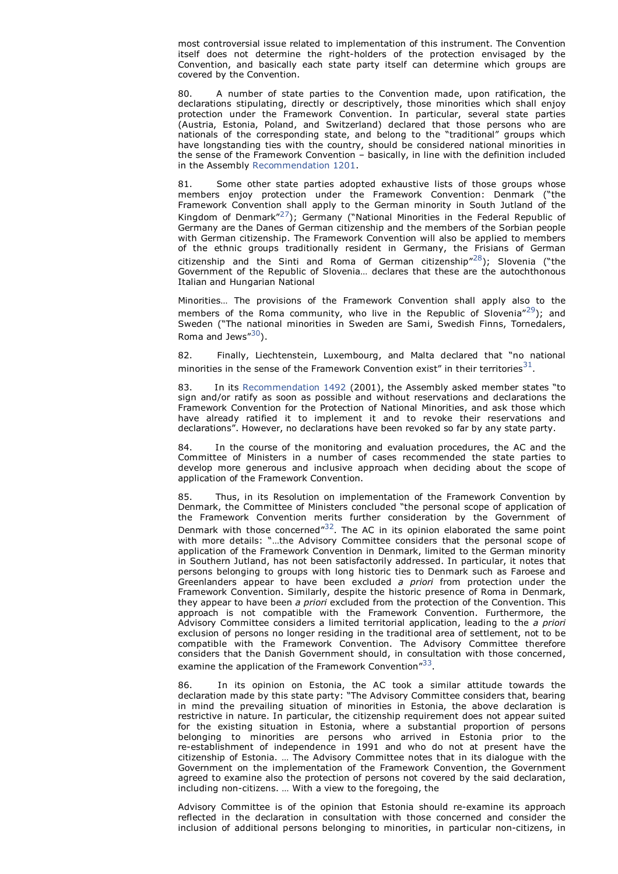most controversial issue related to implementation of this instrument. The Convention itself does not determine the right-holders of the protection envisaged by the Convention, and basically each state party itself can determine which groups are covered by the Convention.

80. A number of state parties to the Convention made, upon ratification, the declarations stipulating, directly or descriptively, those minorities which shall enjoy protection under the Framework Convention. In particular, several state parties (Austria, Estonia, Poland, and Switzerland) declared that those persons who are nationals of the corresponding state, and belong to the "traditional" groups which have longstanding ties with the country, should be considered national minorities in the sense of the Framework Convention – basically, in line with the definition included in the Assembly Recommendation 1201.

81. Some other state parties adopted exhaustive lists of those groups whose members enjoy protection under the Framework Convention: Denmark ("the Framework Convention shall apply to the German minority in South Jutland of the Kingdom of Denmark $v^{27}$ ); Germany ("National Minorities in the Federal Republic of Germany are the Danes of German citizenship and the members of the Sorbian people with German citizenship. The Framework Convention will also be applied to members of the ethnic groups traditionally resident in Germany, the Frisians of German citizenship and the Sinti and Roma of German citizenship<sup> $n28$ </sup>); Slovenia ("the Government of the Republic of Slovenia… declares that these are the autochthonous Italian and Hungarian National

Minorities… The provisions of the Framework Convention shall apply also to the members of the Roma community, who live in the Republic of Slovenia"<sup>29</sup>); and Sweden ("The national minorities in Sweden are Sami, Swedish Finns, Tornedalers, Roma and Jews $^{\prime\prime}30$ ).

82. Finally, Liechtenstein, Luxembourg, and Malta declared that "no national minorities in the sense of the Framework Convention exist" in their territories<sup>31</sup>.

In its Recommendation 1492 (2001), the Assembly asked member states "to sign and/or ratify as soon as possible and without reservations and declarations the Framework Convention for the Protection of National Minorities, and ask those which have already ratified it to implement it and to revoke their reservations and declarations". However, no declarations have been revoked so far by any state party.

84. In the course of the monitoring and evaluation procedures, the AC and the Committee of Ministers in a number of cases recommended the state parties to develop more generous and inclusive approach when deciding about the scope of application of the Framework Convention.

85. Thus, in its Resolution on implementation of the Framework Convention by Denmark, the Committee of Ministers concluded "the personal scope of application of the Framework Convention merits further consideration by the Government of Denmark with those concerned"<sup>32</sup>. The AC in its opinion elaborated the same point with more details: "…the Advisory Committee considers that the personal scope of application of the Framework Convention in Denmark, limited to the German minority in Southern Jutland, has not been satisfactorily addressed. In particular, it notes that persons belonging to groups with long historic ties to Denmark such as Faroese and Greenlanders appear to have been excluded *a priori* from protection under the Framework Convention. Similarly, despite the historic presence of Roma in Denmark, they appear to have been *a priori* excluded from the protection of the Convention. This approach is not compatible with the Framework Convention. Furthermore, the Advisory Committee considers a limited territorial application, leading to the *a priori* exclusion of persons no longer residing in the traditional area of settlement, not to be compatible with the Framework Convention. The Advisory Committee therefore considers that the Danish Government should, in consultation with those concerned, examine the application of the Framework Convention"<sup>33</sup>.

86. In its opinion on Estonia, the AC took a similar attitude towards the declaration made by this state party: "The Advisory Committee considers that, bearing in mind the prevailing situation of minorities in Estonia, the above declaration is restrictive in nature. In particular, the citizenship requirement does not appear suited for the existing situation in Estonia, where a substantial proportion of persons belonging to minorities are persons who arrived in Estonia prior to the re-establishment of independence in 1991 and who do not at present have the citizenship of Estonia. … The Advisory Committee notes that in its dialogue with the Government on the implementation of the Framework Convention, the Government agreed to examine also the protection of persons not covered by the said declaration, including non-citizens. … With a view to the foregoing, the

Advisory Committee is of the opinion that Estonia should re-examine its approach reflected in the declaration in consultation with those concerned and consider the inclusion of additional persons belonging to minorities, in particular non-citizens, in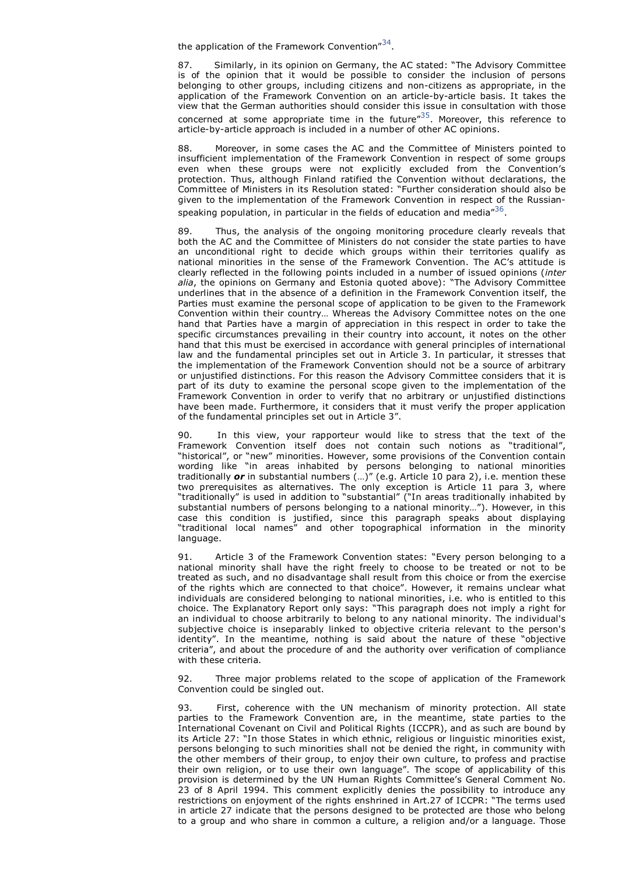the application of the Framework Convention" $^{34}$ .

87. Similarly, in its opinion on Germany, the AC stated: "The Advisory Committee is of the opinion that it would be possible to consider the inclusion of persons belonging to other groups, including citizens and non-citizens as appropriate, in the application of the Framework Convention on an article-by-article basis. It takes the view that the German authorities should consider this issue in consultation with those concerned at some appropriate time in the future $^{n35}$ . Moreover, this reference to article-by-article approach is included in a number of other AC opinions.

88. Moreover, in some cases the AC and the Committee of Ministers pointed to insufficient implementation of the Framework Convention in respect of some groups even when these groups were not explicitly excluded from the Convention's protection. Thus, although Finland ratified the Convention without declarations, the Committee of Ministers in its Resolution stated: "Further consideration should also be given to the implementation of the Framework Convention in respect of the Russianspeaking population, in particular in the fields of education and media $^{n36}$ .

89. Thus, the analysis of the ongoing monitoring procedure clearly reveals that both the AC and the Committee of Ministers do not consider the state parties to have an unconditional right to decide which groups within their territories qualify as national minorities in the sense of the Framework Convention. The AC's attitude is clearly reflected in the following points included in a number of issued opinions (*inter alia*, the opinions on Germany and Estonia quoted above): "The Advisory Committee underlines that in the absence of a definition in the Framework Convention itself, the Parties must examine the personal scope of application to be given to the Framework Convention within their country… Whereas the Advisory Committee notes on the one hand that Parties have a margin of appreciation in this respect in order to take the specific circumstances prevailing in their country into account, it notes on the other hand that this must be exercised in accordance with general principles of international law and the fundamental principles set out in Article 3. In particular, it stresses that the implementation of the Framework Convention should not be a source of arbitrary or unjustified distinctions. For this reason the Advisory Committee considers that it is part of its duty to examine the personal scope given to the implementation of the Framework Convention in order to verify that no arbitrary or unjustified distinctions have been made. Furthermore, it considers that it must verify the proper application of the fundamental principles set out in Article 3".

90. In this view, your rapporteur would like to stress that the text of the Framework Convention itself does not contain such notions as "traditional", "historical", or "new" minorities. However, some provisions of the Convention contain wording like "in areas inhabited by persons belonging to national minorities traditionally *or* in substantial numbers (…)" (e.g. Article 10 para 2), i.e. mention these two prerequisites as alternatives. The only exception is Article 11 para 3, where "traditionally" is used in addition to "substantial" ("In areas traditionally inhabited by substantial numbers of persons belonging to a national minority…"). However, in this case this condition is justified, since this paragraph speaks about displaying "traditional local names" and other topographical information in the minority language.

91. Article 3 of the Framework Convention states: "Every person belonging to a national minority shall have the right freely to choose to be treated or not to be treated as such, and no disadvantage shall result from this choice or from the exercise of the rights which are connected to that choice". However, it remains unclear what individuals are considered belonging to national minorities, i.e. who is entitled to this choice. The Explanatory Report only says: "This paragraph does not imply a right for an individual to choose arbitrarily to belong to any national minority. The individual's subjective choice is inseparably linked to objective criteria relevant to the person's identity". In the meantime, nothing is said about the nature of these "objective criteria", and about the procedure of and the authority over verification of compliance with these criteria.

92. Three major problems related to the scope of application of the Framework Convention could be singled out.

First, coherence with the UN mechanism of minority protection. All state parties to the Framework Convention are, in the meantime, state parties to the International Covenant on Civil and Political Rights (ICCPR), and as such are bound by its Article 27: "In those States in which ethnic, religious or linguistic minorities exist, persons belonging to such minorities shall not be denied the right, in community with the other members of their group, to enjoy their own culture, to profess and practise their own religion, or to use their own language". The scope of applicability of this provision is determined by the UN Human Rights Committee's General Comment No. 23 of 8 April 1994. This comment explicitly denies the possibility to introduce any restrictions on enjoyment of the rights enshrined in Art.27 of ICCPR: "The terms used in article 27 indicate that the persons designed to be protected are those who belong to a group and who share in common a culture, a religion and/or a language. Those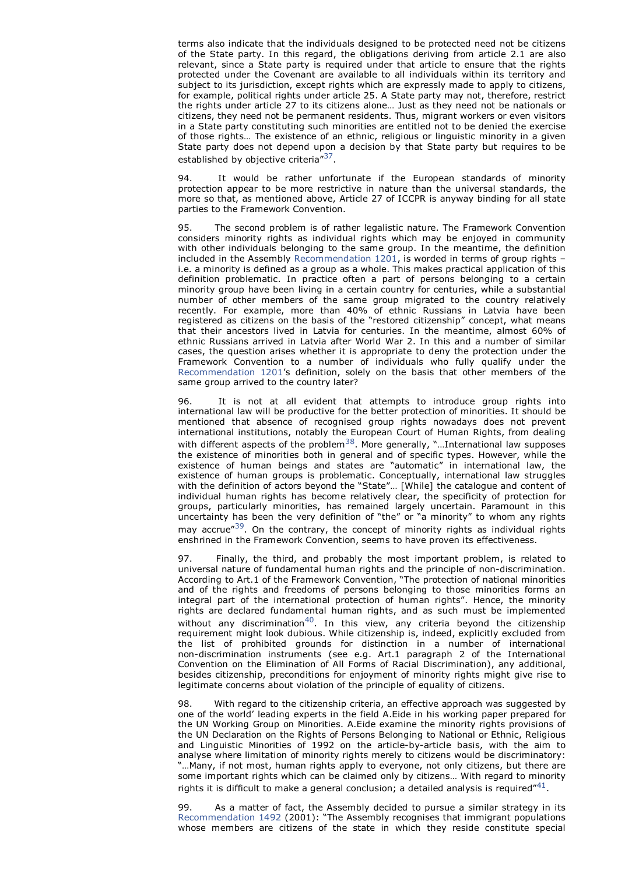terms also indicate that the individuals designed to be protected need not be citizens of the State party. In this regard, the obligations deriving from article 2.1 are also relevant, since a State party is required under that article to ensure that the rights protected under the Covenant are available to all individuals within its territory and subject to its jurisdiction, except rights which are expressly made to apply to citizens, for example, political rights under article 25. A State party may not, therefore, restrict the rights under article 27 to its citizens alone… Just as they need not be nationals or citizens, they need not be permanent residents. Thus, migrant workers or even visitors in a State party constituting such minorities are entitled not to be denied the exercise of those rights… The existence of an ethnic, religious or linguistic minority in a given State party does not depend upon a decision by that State party but requires to be established by objective criteria"<sup>37</sup>.

94. It would be rather unfortunate if the European standards of minority protection appear to be more restrictive in nature than the universal standards, the more so that, as mentioned above, Article 27 of ICCPR is anyway binding for all state parties to the Framework Convention.

95. The second problem is of rather legalistic nature. The Framework Convention considers minority rights as individual rights which may be enjoyed in community with other individuals belonging to the same group. In the meantime, the definition included in the Assembly Recommendation 1201, is worded in terms of group rights – i.e. a minority is defined as a group as a whole. This makes practical application of this definition problematic. In practice often a part of persons belonging to a certain minority group have been living in a certain country for centuries, while a substantial number of other members of the same group migrated to the country relatively recently. For example, more than 40% of ethnic Russians in Latvia have been registered as citizens on the basis of the "restored citizenship" concept, what means that their ancestors lived in Latvia for centuries. In the meantime, almost 60% of ethnic Russians arrived in Latvia after World War 2. In this and a number of similar cases, the question arises whether it is appropriate to deny the protection under the Framework Convention to a number of individuals who fully qualify under the Recommendation 1201's definition, solely on the basis that other members of the same group arrived to the country later?

96. It is not at all evident that attempts to introduce group rights into international law will be productive for the better protection of minorities. It should be mentioned that absence of recognised group rights nowadays does not prevent international institutions, notably the European Court of Human Rights, from dealing with different aspects of the problem<sup>38</sup>. More generally, "...International law supposes the existence of minorities both in general and of specific types. However, while the existence of human beings and states are "automatic" in international law, the existence of human groups is problematic. Conceptually, international law struggles with the definition of actors beyond the "State"… [While] the catalogue and content of individual human rights has become relatively clear, the specificity of protection for groups, particularly minorities, has remained largely uncertain. Paramount in this uncertainty has been the very definition of "the" or "a minority" to whom any rights mav accrue"<sup>39</sup>. On the contrary, the concept of minority rights as individual rights enshrined in the Framework Convention, seems to have proven its effectiveness.

Finally, the third, and probably the most important problem, is related to universal nature of fundamental human rights and the principle of non-discrimination. According to Art.1 of the Framework Convention, "The protection of national minorities and of the rights and freedoms of persons belonging to those minorities forms an integral part of the international protection of human rights". Hence, the minority rights are declared fundamental human rights, and as such must be implemented without any discrimination<sup>40</sup>. In this view, any criteria beyond the citizenship requirement might look dubious. While citizenship is, indeed, explicitly excluded from the list of prohibited grounds for distinction in a number of international non-discrimination instruments (see e.g. Art.1 paragraph 2 of the International Convention on the Elimination of All Forms of Racial Discrimination), any additional, besides citizenship, preconditions for enjoyment of minority rights might give rise to legitimate concerns about violation of the principle of equality of citizens.

98. With regard to the citizenship criteria, an effective approach was suggested by one of the world' leading experts in the field A.Eide in his working paper prepared for the UN Working Group on Minorities. A.Eide examine the minority rights provisions of the UN Declaration on the Rights of Persons Belonging to National or Ethnic, Religious and Linguistic Minorities of 1992 on the article-by-article basis, with the aim to analyse where limitation of minority rights merely to citizens would be discriminatory: "…Many, if not most, human rights apply to everyone, not only citizens, but there are some important rights which can be claimed only by citizens… With regard to minority rights it is difficult to make a general conclusion; a detailed analysis is required $^{\prime\prime 41}.$ 

As a matter of fact, the Assembly decided to pursue a similar strategy in its Recommendation 1492 (2001): "The Assembly recognises that immigrant populations whose members are citizens of the state in which they reside constitute special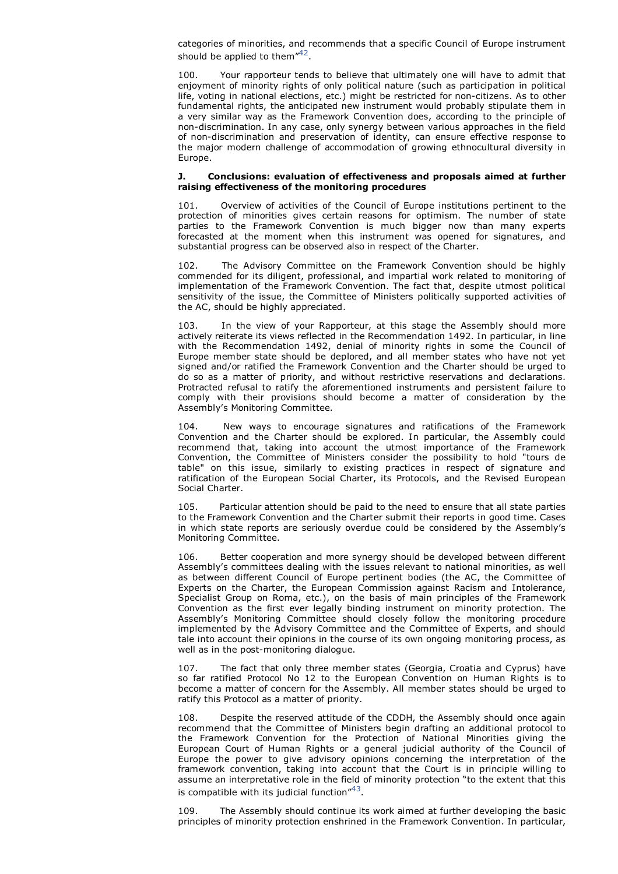categories of minorities, and recommends that a specific Council of Europe instrument should be applied to them" $42$ .

100. Your rapporteur tends to believe that ultimately one will have to admit that enjoyment of minority rights of only political nature (such as participation in political life, voting in national elections, etc.) might be restricted for non-citizens. As to other fundamental rights, the anticipated new instrument would probably stipulate them in a very similar way as the Framework Convention does, according to the principle of non-discrimination. In any case, only synergy between various approaches in the field of non-discrimination and preservation of identity, can ensure effective response to the major modern challenge of accommodation of growing ethnocultural diversity in Europe.

#### **J. Conclusions: evaluation of effectiveness and proposals aimed at further raising effectiveness of the monitoring procedures**

101. Overview of activities of the Council of Europe institutions pertinent to the protection of minorities gives certain reasons for optimism. The number of state parties to the Framework Convention is much bigger now than many experts forecasted at the moment when this instrument was opened for signatures, and substantial progress can be observed also in respect of the Charter.

102. The Advisory Committee on the Framework Convention should be highly commended for its diligent, professional, and impartial work related to monitoring of implementation of the Framework Convention. The fact that, despite utmost political sensitivity of the issue, the Committee of Ministers politically supported activities of the AC, should be highly appreciated.

103. In the view of your Rapporteur, at this stage the Assembly should more actively reiterate its views reflected in the Recommendation 1492. In particular, in line with the Recommendation 1492, denial of minority rights in some the Council of Europe member state should be deplored, and all member states who have not yet signed and/or ratified the Framework Convention and the Charter should be urged to do so as a matter of priority, and without restrictive reservations and declarations. Protracted refusal to ratify the aforementioned instruments and persistent failure to comply with their provisions should become a matter of consideration by the Assembly's Monitoring Committee.

104. New ways to encourage signatures and ratifications of the Framework Convention and the Charter should be explored. In particular, the Assembly could recommend that, taking into account the utmost importance of the Framework Convention, the Committee of Ministers consider the possibility to hold "tours de table" on this issue, similarly to existing practices in respect of signature and ratification of the European Social Charter, its Protocols, and the Revised European Social Charter.

105. Particular attention should be paid to the need to ensure that all state parties to the Framework Convention and the Charter submit their reports in good time. Cases in which state reports are seriously overdue could be considered by the Assembly's Monitoring Committee.

106. Better cooperation and more synergy should be developed between different Assembly's committees dealing with the issues relevant to national minorities, as well as between different Council of Europe pertinent bodies (the AC, the Committee of Experts on the Charter, the European Commission against Racism and Intolerance, Specialist Group on Roma, etc.), on the basis of main principles of the Framework Convention as the first ever legally binding instrument on minority protection. The Assembly's Monitoring Committee should closely follow the monitoring procedure implemented by the Advisory Committee and the Committee of Experts, and should tale into account their opinions in the course of its own ongoing monitoring process, as well as in the post-monitoring dialogue.

107. The fact that only three member states (Georgia, Croatia and Cyprus) have so far ratified Protocol No 12 to the European Convention on Human Rights is to become a matter of concern for the Assembly. All member states should be urged to ratify this Protocol as a matter of priority.

108. Despite the reserved attitude of the CDDH, the Assembly should once again recommend that the Committee of Ministers begin drafting an additional protocol to the Framework Convention for the Protection of National Minorities giving the European Court of Human Rights or a general judicial authority of the Council of Europe the power to give advisory opinions concerning the interpretation of the framework convention, taking into account that the Court is in principle willing to assume an interpretative role in the field of minority protection "to the extent that this is compatible with its judicial function $^{\prime\prime 43}.$ 

109. The Assembly should continue its work aimed at further developing the basic principles of minority protection enshrined in the Framework Convention. In particular,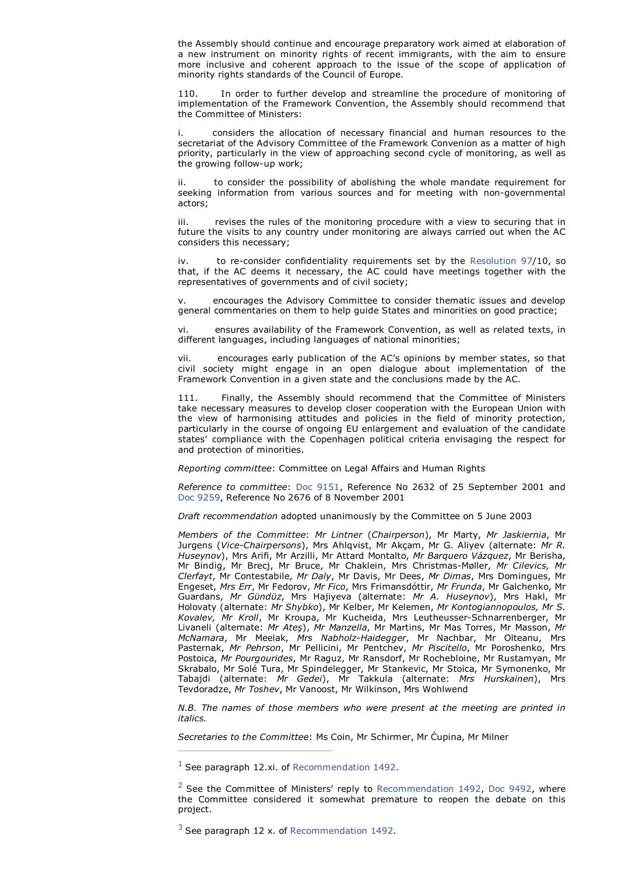the Assembly should continue and encourage preparatory work aimed at elaboration of a new instrument on minority rights of recent immigrants, with the aim to ensure more inclusive and coherent approach to the issue of the scope of application of minority rights standards of the Council of Europe.

In order to further develop and streamline the procedure of monitoring of implementation of the Framework Convention, the Assembly should recommend that the Committee of Ministers:

considers the allocation of necessary financial and human resources to the secretariat of the Advisory Committee of the Framework Convenion as a matter of high priority, particularly in the view of approaching second cycle of monitoring, as well as the growing follow-up work;

ii. to consider the possibility of abolishing the whole mandate requirement for seeking information from various sources and for meeting with non-governmental actors;

iii. revises the rules of the monitoring procedure with a view to securing that in future the visits to any country under monitoring are always carried out when the AC considers this necessary;

to re-consider confidentiality requirements set by the Resolution 97/10, so that, if the AC deems it necessary, the AC could have meetings together with the representatives of governments and of civil society;

v. encourages the Advisory Committee to consider thematic issues and develop general commentaries on them to help guide States and minorities on good practice;

vi. ensures availability of the Framework Convention, as well as related texts, in different languages, including languages of national minorities;

vii. encourages early publication of the AC's opinions by member states, so that civil society might engage in an open dialogue about implementation of the Framework Convention in a given state and the conclusions made by the AC.

111. Finally, the Assembly should recommend that the Committee of Ministers take necessary measures to develop closer cooperation with the European Union with the view of harmonising attitudes and policies in the field of minority protection, particularly in the course of ongoing EU enlargement and evaluation of the candidate states' compliance with the Copenhagen political criteria envisaging the respect for and protection of minorities.

*Reporting committee*: Committee on Legal Affairs and Human Rights

*Reference to committee*: Doc 9151, Reference No 2632 of 25 September 2001 and Doc 9259, Reference No 2676 of 8 November 2001

*Draft recommendation* adopted unanimously by the Committee on 5 June 2003

*Members of the Committee*: *Mr Lintner* (*Chairperson*), Mr Marty, *Mr Jaskiernia*, Mr Jurgens (*Vice-Chairpersons*), Mrs Ahlqvist, Mr Akçam, Mr G. Aliyev (alternate: *Mr R. Huseynov*), Mrs Arifi, Mr Arzilli, Mr Attard Montalto, *Mr Barquero Vázquez*, Mr Berisha, Mr Bindig, Mr Brecj, Mr Bruce, Mr Chaklein, Mrs Christmas-Møller, *Mr Cilevics, Mr Clerfayt*, Mr Contestabile, *Mr Daly*, Mr Davis, Mr Dees, *Mr Dimas*, Mrs Domingues, Mr Engeset, *Mrs Err*, Mr Fedorov, *Mr Fico*, Mrs Frimansdóttir, *Mr Frunda*, Mr Galchenko, Mr Guardans, *Mr Gündüz*, Mrs Hajiyeva (alternate: *Mr A. Huseynov*), Mrs Hakl, Mr Holovaty (alternate: *Mr Shybko*), Mr Kelber, Mr Kelemen, *Mr Kontogiannopoulos, Mr S. Kovalev, Mr Kroll*, Mr Kroupa, Mr Kucheida, Mrs Leutheusser-Schnarrenberger, Mr Livaneli (alternate: *Mr Ateş*), *Mr Manzella*, Mr Martins, Mr Mas Torres, Mr Masson, *Mr McNamara*, Mr Meelak, *Mrs Nabholz-Haidegger*, Mr Nachbar, Mr Olteanu, Mrs Pasternak, *Mr Pehrson*, Mr Pellicini, Mr Pentchev, *Mr Piscitello*, Mr Poroshenko, Mrs Postoica, *Mr Pourgourides*, Mr Raguz, Mr Ransdorf, Mr Rochebloine, Mr Rustamyan, Mr Skrabalo, Mr Solé Tura, Mr Spindelegger, Mr Stankevic, Mr Stoica, Mr Symonenko, Mr Tabajdi (alternate: *Mr Gedei*), Mr Takkula (alternate: *Mrs Hurskainen*), Mrs Tevdoradze, *Mr Toshev*, Mr Vanoost, Mr Wilkinson, Mrs Wohlwend

*N.B. The names of those members who were present at the meeting are printed in italics.*

*Secretaries to the Committee*: Ms Coin, Mr Schirmer, Mr Ćupina, Mr Milner

 $1$  See paragraph 12.xi. of Recommendation 1492.

 $2$  See the Committee of Ministers' reply to Recommendation 1492, Doc 9492, where the Committee considered it somewhat premature to reopen the debate on this project.

 $3$  See paragraph 12 x. of Recommendation 1492.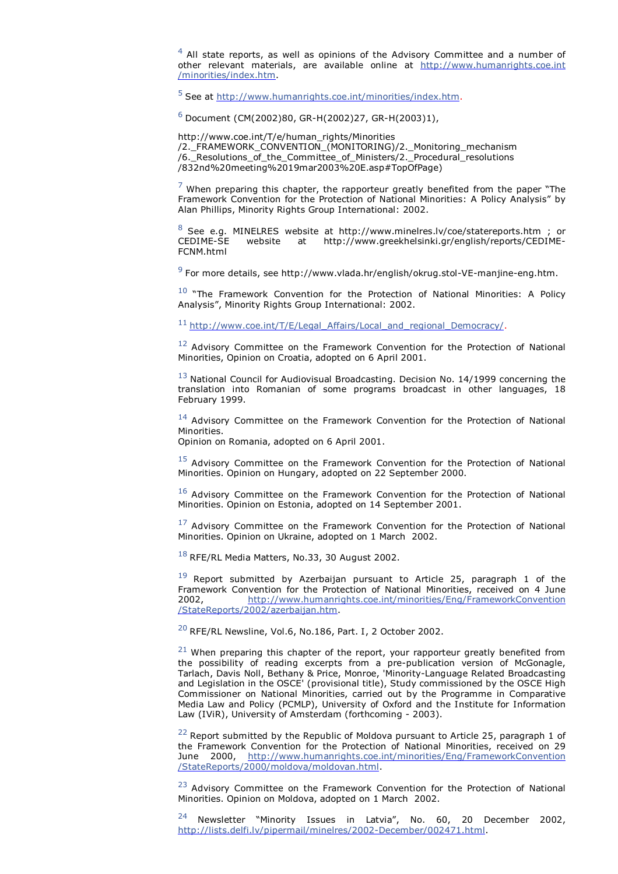$4$  All state reports, as well as opinions of the Advisory Committee and a number of other relevant materials, are available online at http://www.humanrights.coe.int /minorities/index.htm.

<sup>5</sup> See at http://www.humanrights.coe.int/minorities/index.htm.

 $6$  Document (CM(2002)80, GR-H(2002)27, GR-H(2003)1),

http://www.coe.int/T/e/human\_rights/Minorities /2.\_FRAMEWORK\_CONVENTION\_(MONITORING)/2.\_Monitoring\_mechanism /6.\_Resolutions\_of\_the\_Committee\_of\_Ministers/2.\_Procedural\_resolutions /832nd%20meeting%2019mar2003%20E.asp#TopOfPage)

 $7$  When preparing this chapter, the rapporteur greatly benefited from the paper "The Framework Convention for the Protection of National Minorities: A Policy Analysis" by Alan Phillips, Minority Rights Group International: 2002.

 $8$  See e.g. MINELRES website at http://www.minelres.lv/coe/statereports.htm ; or CEDIME-<br>CEDIME-SE website at http://www.greekhelsinki.gr/english/reports/CEDIMEat http://www.greekhelsinki.gr/english/reports/CEDIME-FCNM.html

 $^9$  For more details, see http://www.vlada.hr/english/okrug.stol-VE-manjine-eng.htm.

 $10$  "The Framework Convention for the Protection of National Minorities: A Policy Analysis", Minority Rights Group International: 2002.

<sup>11</sup> http://www.coe.int/T/E/Legal\_Affairs/Local\_and\_regional\_Democracy/.

 $12$  Advisory Committee on the Framework Convention for the Protection of National Minorities, Opinion on Croatia, adopted on 6 April 2001.

 $13$  National Council for Audiovisual Broadcasting. Decision No. 14/1999 concerning the translation into Romanian of some programs broadcast in other languages, 18 February 1999.

 $14$  Advisory Committee on the Framework Convention for the Protection of National Minorities.

Opinion on Romania, adopted on 6 April 2001.

 $15$  Advisory Committee on the Framework Convention for the Protection of National Minorities. Opinion on Hungary, adopted on 22 September 2000.

 $16$  Advisory Committee on the Framework Convention for the Protection of National Minorities. Opinion on Estonia, adopted on 14 September 2001.

 $^{17}$  Advisory Committee on the Framework Convention for the Protection of National Minorities. Opinion on Ukraine, adopted on 1 March 2002.

 $18$  RFE/RL Media Matters, No.33, 30 August 2002.

 $19$  Report submitted by Azerbaijan pursuant to Article 25, paragraph 1 of the Framework Convention for the Protection of National Minorities, received on 4 June 2002, http://www.humanrights.coe.int/minorities/Eng/FrameworkConvention /StateReports/2002/azerbaijan.htm.

<sup>20</sup> RFE/RL Newsline, Vol.6, No.186, Part. I, 2 October 2002.

 $21$  When preparing this chapter of the report, your rapporteur greatly benefited from the possibility of reading excerpts from a pre-publication version of McGonagle, Tarlach, Davis Noll, Bethany & Price, Monroe, 'Minority-Language Related Broadcasting and Legislation in the OSCE' (provisional title), Study commissioned by the OSCE High Commissioner on National Minorities, carried out by the Programme in Comparative Media Law and Policy (PCMLP), University of Oxford and the Institute for Information Law (IViR), University of Amsterdam (forthcoming - 2003).

 $22$  Report submitted by the Republic of Moldova pursuant to Article 25, paragraph 1 of the Framework Convention for the Protection of National Minorities, received on 29 June 2000, http://www.humanrights.coe.int/minorities/Eng/FrameworkConvention /StateReports/2000/moldova/moldovan.html.

<sup>23</sup> Advisory Committee on the Framework Convention for the Protection of National Minorities. Opinion on Moldova, adopted on 1 March 2002.

<sup>24</sup> Newsletter "Minority Issues in Latvia", No. 60, 20 December 2002, http://lists.delfi.lv/pipermail/minelres/2002-December/002471.html.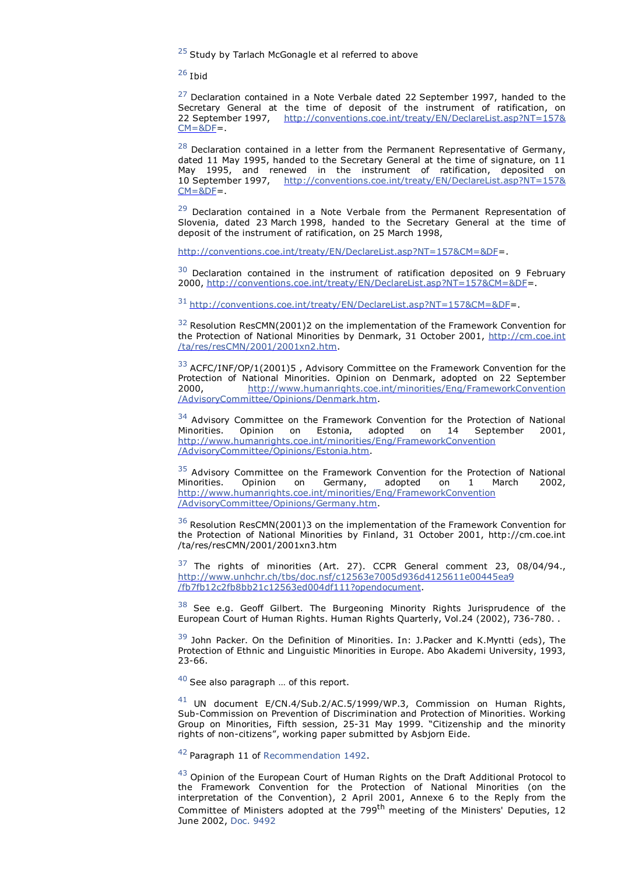$25$  Study by Tarlach McGonagle et al referred to above

<sup>26</sup> Ibid

 $27$  Declaration contained in a Note Verbale dated 22 September 1997, handed to the Secretary General at the time of deposit of the instrument of ratification, on 22 September 1997, http://conventions.coe.int/treaty/EN/DeclareList.asp?NT=157&  $CM = 8DF =$ 

 $^{28}$  Declaration contained in a letter from the Permanent Representative of Germany, dated 11 May 1995, handed to the Secretary General at the time of signature, on 11 May 1995, and renewed in the instrument of ratification, deposited on 10 September 1997, http://conventions.coe.int/treaty/EN/DeclareList.asp?NT=157&  $CM = 8DF = 0$ 

 $29$  Declaration contained in a Note Verbale from the Permanent Representation of Slovenia, dated 23 March 1998, handed to the Secretary General at the time of deposit of the instrument of ratification, on 25 March 1998,

http://conventions.coe.int/treaty/EN/DeclareList.asp?NT=157&CM=&DF=.

 $30$  Declaration contained in the instrument of ratification deposited on 9 February 2000, http://conventions.coe.int/treaty/EN/DeclareList.asp?NT=157&CM=&DF=.

<sup>31</sup> http://conventions.coe.int/treaty/EN/DeclareList.asp?NT=157&CM=&DF=.

<sup>32</sup> Resolution ResCMN(2001)2 on the implementation of the Framework Convention for the Protection of National Minorities by Denmark, 31 October 2001, http://cm.coe.int /ta/res/resCMN/2001/2001xn2.htm.

<sup>33</sup> ACFC/INF/OP/1(2001)5, Advisory Committee on the Framework Convention for the Protection of National Minorities. Opinion on Denmark, adopted on 22 September 2000, http://www.humanrights.coe.int/minorities/Eng/FrameworkConvention /AdvisoryCommittee/Opinions/Denmark.htm.

<sup>34</sup> Advisory Committee on the Framework Convention for the Protection of National Minorities. Opinion on Estonia, adopted on 14 September 2001, http://www.humanrights.coe.int/minorities/Eng/FrameworkConvention /AdvisoryCommittee/Opinions/Estonia.htm.

 $35$  Advisory Committee on the Framework Convention for the Protection of National Minorities. Opinion on Germany. adopted on 1 March 2002. on Germany, adopted on 1 March 2002, http://www.humanrights.coe.int/minorities/Eng/FrameworkConvention /AdvisoryCommittee/Opinions/Germany.htm.

<sup>36</sup> Resolution ResCMN(2001)3 on the implementation of the Framework Convention for the Protection of National Minorities by Finland, 31 October 2001, http://cm.coe.int /ta/res/resCMN/2001/2001xn3.htm

 $37$  The rights of minorities (Art. 27). CCPR General comment 23, 08/04/94., http://www.unhchr.ch/tbs/doc.nsf/c12563e7005d936d4125611e00445ea9 /fb7fb12c2fb8bb21c12563ed004df111?opendocument.

 $38$  See e.g. Geoff Gilbert. The Burgeoning Minority Rights Jurisprudence of the European Court of Human Rights. Human Rights Quarterly, Vol.24 (2002), 736-780. .

<sup>39</sup> John Packer. On the Definition of Minorities. In: J.Packer and K.Myntti (eds), The Protection of Ethnic and Linguistic Minorities in Europe. Abo Akademi University, 1993, 23-66.

 $40$  See also paragraph ... of this report.

<sup>41</sup> UN document E/CN.4/Sub.2/AC.5/1999/WP.3, Commission on Human Rights, Sub-Commission on Prevention of Discrimination and Protection of Minorities. Working Group on Minorities, Fifth session, 25-31 May 1999. "Citizenship and the minority rights of non-citizens", working paper submitted by Asbjorn Eide.

<sup>42</sup> Paragraph 11 of Recommendation 1492.

 $43$  Opinion of the European Court of Human Rights on the Draft Additional Protocol to the Framework Convention for the Protection of National Minorities (on the interpretation of the Convention), 2 April 2001, Annexe 6 to the Reply from the Committee of Ministers adopted at the 799<sup>th</sup> meeting of the Ministers' Deputies, 12 June 2002, Doc. 9492